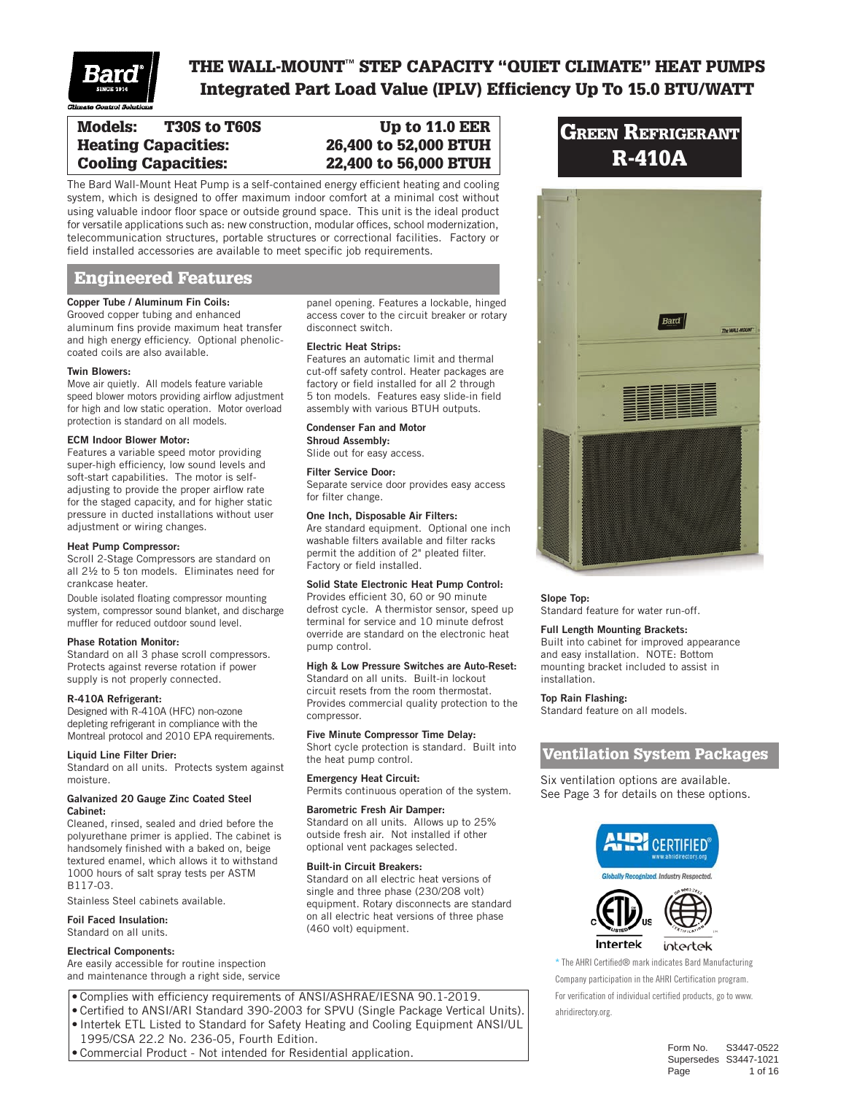

## THE WALL-MOUNT™ STEP CAPACITY "QUIET CLIMATE" HEAT PUMPS Integrated Part Load Value (IPLV) Efficiency Up To 15.0 BTU/WATT

## Models: T30S to T60S Up to 11.0 EER Heating Capacities: 26,400 to 52,000 BTUH Cooling Capacities: 22,400 to 56,000 BTUH

The Bard Wall-Mount Heat Pump is a self-contained energy efficient heating and cooling system, which is designed to offer maximum indoor comfort at a minimal cost without using valuable indoor floor space or outside ground space. This unit is the ideal product for versatile applications such as: new construction, modular offices, school modernization, telecommunication structures, portable structures or correctional facilities. Factory or field installed accessories are available to meet specific job requirements.

## Engineered Features

## Copper Tube / Aluminum Fin Coils:

Grooved copper tubing and enhanced aluminum fins provide maximum heat transfer and high energy efficiency. Optional phenoliccoated coils are also available.

## Twin Blowers:

Move air quietly. All models feature variable speed blower motors providing airflow adjustment for high and low static operation. Motor overload protection is standard on all models.

## ECM Indoor Blower Motor:

Features a variable speed motor providing super-high efficiency, low sound levels and soft-start capabilities. The motor is selfadjusting to provide the proper airflow rate for the staged capacity, and for higher static pressure in ducted installations without user adjustment or wiring changes.

## Heat Pump Compressor:

Scroll 2-Stage Compressors are standard on all 2½ to 5 ton models. Eliminates need for crankcase heater.

Double isolated floating compressor mounting system, compressor sound blanket, and discharge muffler for reduced outdoor sound level.

### Phase Rotation Monitor:

Standard on all 3 phase scroll compressors. Protects against reverse rotation if power supply is not properly connected.

### R-410A Refrigerant:

Designed with R-410A (HFC) non-ozone depleting refrigerant in compliance with the Montreal protocol and 2010 EPA requirements.

### Liquid Line Filter Drier:

Standard on all units. Protects system against moisture.

### Galvanized 20 Gauge Zinc Coated Steel Cabinet:

Cleaned, rinsed, sealed and dried before the polyurethane primer is applied. The cabinet is handsomely finished with a baked on, beige textured enamel, which allows it to withstand 1000 hours of salt spray tests per ASTM B117-03.

Stainless Steel cabinets available.

#### Foil Faced Insulation: Standard on all units.

## Electrical Components:

Are easily accessible for routine inspection and maintenance through a right side, service

- **•** Complies with efficiency requirements of ANSI/ASHRAE/IESNA 90.1-2019.
- **•** Certified to ANSI/ARI Standard 390-2003 for SPVU (Single Package Vertical Units).
- **•** Intertek ETL Listed to Standard for Safety Heating and Cooling Equipment ANSI/UL
- 1995/CSA 22.2 No. 236-05, Fourth Edition. **•** Commercial Product - Not intended for Residential application.

panel opening. Features a lockable, hinged access cover to the circuit breaker or rotary disconnect switch.

## Electric Heat Strips:

Features an automatic limit and thermal cut-off safety control. Heater packages are factory or field installed for all 2 through 5 ton models. Features easy slide-in field assembly with various BTUH outputs.

#### Condenser Fan and Motor Shroud Assembly:

Slide out for easy access.

## Filter Service Door:

Separate service door provides easy access for filter change.

## One Inch, Disposable Air Filters:

Are standard equipment. Optional one inch washable filters available and filter racks permit the addition of 2" pleated filter. Factory or field installed.

## Solid State Electronic Heat Pump Control:

Provides efficient 30, 60 or 90 minute defrost cycle. A thermistor sensor, speed up terminal for service and 10 minute defrost override are standard on the electronic heat pump control.

### High & Low Pressure Switches are Auto-Reset:

Standard on all units. Built-in lockout circuit resets from the room thermostat. Provides commercial quality protection to the compressor.

### Five Minute Compressor Time Delay:

Short cycle protection is standard. Built into the heat pump control.

## Emergency Heat Circuit:

Permits continuous operation of the system.

## Barometric Fresh Air Damper:

Standard on all units. Allows up to 25% outside fresh air. Not installed if other optional vent packages selected.

### Built-in Circuit Breakers:

Standard on all electric heat versions of single and three phase (230/208 volt) equipment. Rotary disconnects are standard on all electric heat versions of three phase (460 volt) equipment.

## Green Refrigerant R-410A



## Slope Top:

Standard feature for water run-off.

## Full Length Mounting Brackets:

Built into cabinet for improved appearance and easy installation. NOTE: Bottom mounting bracket included to assist in installation.

### Top Rain Flashing:

Standard feature on all models.

## Ventilation System Packages

Six ventilation options are available. See Page 3 for details on these options.



\* The AHRI Certified® mark indicates Bard Manufacturing Company participation in the AHRI Certification program. For verification of individual certified products, go to www. ahridirectory.org.

> Form No. S3447-0522 Supersedes S3447-1021 Page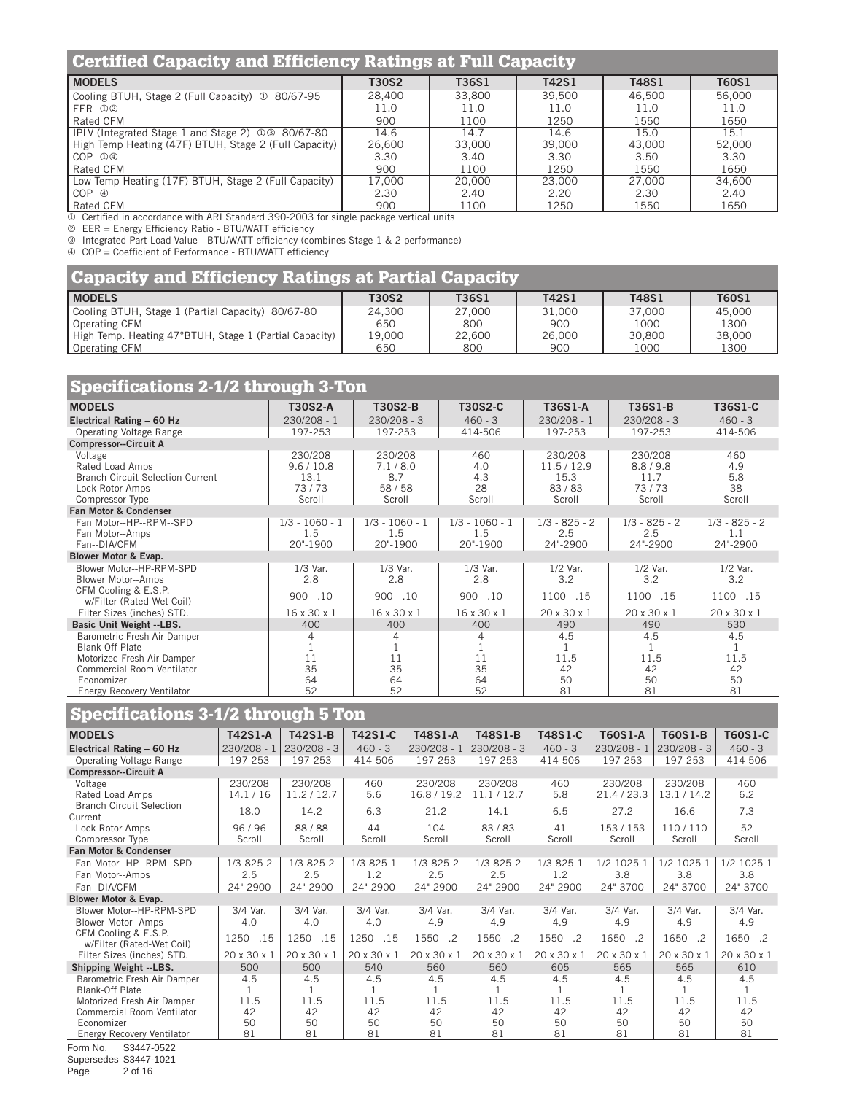## Certified Capacity and Efficiency Ratings at Full Capacity

| <u>ool vilion Gupuuliy mini millololloj thuuliy</u> d uu l mil Gupuuliy |              |              |        |              |              |
|-------------------------------------------------------------------------|--------------|--------------|--------|--------------|--------------|
| <b>MODELS</b>                                                           | <b>T30S2</b> | <b>T36S1</b> | T42S1  | <b>T48S1</b> | <b>T60S1</b> |
| Cooling BTUH, Stage 2 (Full Capacity) 1 80/67-95                        | 28,400       | 33,800       | 39.500 | 46.500       | 56.000       |
| EER 102                                                                 | 11.0         | 11.0         | 11.0   | 11.0         | 11.0         |
| Rated CFM                                                               | 900          | 1100         | 1250   | 1550         | 1650         |
| IPLV (Integrated Stage 1 and Stage 2) ①3 80/67-80                       | 14.6         | 14.7         | 14.6   | 15.0         | 15.1         |
| High Temp Heating (47F) BTUH, Stage 2 (Full Capacity)                   | 26,600       | 33.000       | 39,000 | 43.000       | 52,000       |
| COP 1040                                                                | 3.30         | 3.40         | 3.30   | 3.50         | 3.30         |
| Rated CFM                                                               | 900          | 1100         | 1250   | 1550         | 1650         |
| Low Temp Heating (17F) BTUH, Stage 2 (Full Capacity)                    | 17.000       | 20,000       | 23,000 | 27,000       | 34.600       |
| $COP$ $\circledcirc$                                                    | 2.30         | 2.40         | 2.20   | 2.30         | 2.40         |
| Rated CFM                                                               | 900          | 1100         | 1250   | 1550         | 1650         |

Rated CFM<br>© Certified in accordance with ARI Standard 390-2003 for single package vertical units

EER = Energy Efficiency Ratio - BTU/WATT efficiency

Integrated Part Load Value - BTU/WATT efficiency (combines Stage 1 & 2 performance)

COP = Coefficient of Performance - BTU/WATT efficiency

| <b>Capacity and Efficiency Ratings at Partial Capacity</b> |              |              |        |              |              |
|------------------------------------------------------------|--------------|--------------|--------|--------------|--------------|
| <b>MODELS</b>                                              | <b>T30S2</b> | <b>T36S1</b> | T42S1  | <b>T48S1</b> | <b>T60S1</b> |
| Cooling BTUH, Stage 1 (Partial Capacity) 80/67-80          | 24.300       | 27,000       | 31.000 | 37.000       | 45.000       |
| Operating CFM                                              | 650          | 800          | 900    | 1000         | 1300         |
| High Temp. Heating 47°BTUH, Stage 1 (Partial Capacity)     | 19.000       | 22,600       | 26,000 | 30,800       | 38,000       |
| Operating CFM                                              | 650          | 800          | 900    | 1000         | 1300         |

| <b>T30S2-A</b>                                 | <b>T30S2-B</b>                               | <b>T30S2-C</b>                                                              | T36S1-A                                         | <b>T36S1-B</b>                                | T36S1-C                            |
|------------------------------------------------|----------------------------------------------|-----------------------------------------------------------------------------|-------------------------------------------------|-----------------------------------------------|------------------------------------|
| 230/208 - 1                                    | $230/208 - 3$                                | $460 - 3$                                                                   | 230/208 - 1                                     | $230/208 - 3$                                 | $460 - 3$                          |
| 197-253                                        | 197-253                                      | 414-506                                                                     | 197-253                                         | 197-253                                       | 414-506                            |
|                                                |                                              |                                                                             |                                                 |                                               |                                    |
| 230/208<br>9.6/10.8<br>13.1<br>73/73<br>Scroll | 230/208<br>7.1/8.0<br>8.7<br>58/58<br>Scroll | 460<br>4.0<br>4.3<br>28<br>Scroll                                           | 230/208<br>11.5/12.9<br>15.3<br>83/83<br>Scroll | 230/208<br>8.8/9.8<br>11.7<br>73/73<br>Scroll | 460<br>4.9<br>5.8<br>38<br>Scroll  |
|                                                |                                              |                                                                             |                                                 |                                               |                                    |
| $1/3 - 1060 - 1$<br>1.5<br>20"-1900            | $1/3 - 1060 - 1$<br>1.5<br>20"-1900          | $1/3 - 1060 - 1$<br>1.5<br>20"-1900                                         | $1/3 - 825 - 2$<br>2.5<br>24"-2900              | $1/3 - 825 - 2$<br>2.5<br>24"-2900            | $1/3 - 825 - 2$<br>1.1<br>24"-2900 |
|                                                |                                              |                                                                             |                                                 |                                               |                                    |
| 1/3 Var.<br>2.8                                | 1/3 Var.<br>2.8                              | 1/3 Var.<br>2.8                                                             | $1/2$ Var.<br>3.2                               | 1/2 Var.<br>3.2                               | 1/2 Var.<br>3.2                    |
| $900 - 10$                                     | $900 - 10$                                   | $900 - 10$                                                                  | $1100 - 15$                                     | $1100 - 15$                                   | $1100 - .15$                       |
|                                                |                                              |                                                                             |                                                 |                                               | $20 \times 30 \times 1$<br>530     |
| Δ<br>11<br>35<br>64<br>52                      | 4<br>11<br>35<br>64<br>52                    | 4<br>11<br>35<br>64<br>52                                                   | 4.5<br>1<br>11.5<br>42<br>50<br>81              | 4.5<br>11.5<br>42<br>50<br>81                 | 4.5<br>1<br>11.5<br>42<br>50<br>81 |
|                                                | $16 \times 30 \times 1$<br>400               | <b>Specifications 2-1/2 through 3-Ton</b><br>$16 \times 30 \times 1$<br>400 | $16 \times 30 \times 1$<br>400                  | $20 \times 30 \times 1$<br>490                | $20 \times 30 \times 1$<br>490     |

## Specifications 3-1/2 through 5 Ton

| <b>MODELS</b>                                     | T42S1-A                 | T42S1-B                 | T42S1-C                 | T48S1-A                 | T48S1-B                 | T48S1-C                 | <b>T60S1-A</b>          | <b>T60S1-B</b>          | <b>T60S1-C</b>          |
|---------------------------------------------------|-------------------------|-------------------------|-------------------------|-------------------------|-------------------------|-------------------------|-------------------------|-------------------------|-------------------------|
| Electrical Rating - 60 Hz                         | 230/208 - 1             | $230/208 - 3$           | $460 - 3$               | $230/208 - 1$           | $230/208 - 3$           | $460 - 3$               | 230/208 - 1             | $230/208 - 3$           | $460 - 3$               |
| <b>Operating Voltage Range</b>                    | 197-253                 | 197-253                 | 414-506                 | 197-253                 | 197-253                 | 414-506                 | 197-253                 | 197-253                 | 414-506                 |
| <b>Compressor--Circuit A</b>                      |                         |                         |                         |                         |                         |                         |                         |                         |                         |
| Voltage<br>Rated Load Amps                        | 230/208<br>14.1/16      | 230/208<br>11.2 / 12.7  | 460<br>5.6              | 230/208<br>16.8/19.2    | 230/208<br>11.1/12.7    | 460<br>5.8              | 230/208<br>21.4 / 23.3  | 230/208<br>13.1/14.2    | 460<br>6.2              |
| <b>Branch Circuit Selection</b><br>Current        | 18.0                    | 14.2                    | 6.3                     | 21.2                    | 14.1                    | 6.5                     | 27.2                    | 16.6                    | 7.3                     |
| Lock Rotor Amps<br>Compressor Type                | 96/96<br>Scroll         | 88/88<br>Scroll         | 44<br>Scroll            | 104<br>Scroll           | 83/83<br>Scroll         | 41<br>Scroll            | 153/153<br>Scroll       | 110/110<br>Scroll       | 52<br>Scroll            |
| <b>Fan Motor &amp; Condenser</b>                  |                         |                         |                         |                         |                         |                         |                         |                         |                         |
| Fan Motor--HP--RPM--SPD                           | $1/3 - 825 - 2$         | $1/3 - 825 - 2$         | $1/3 - 825 - 1$         | $1/3 - 825 - 2$         | $1/3 - 825 - 2$         | $1/3 - 825 - 1$         | $1/2 - 1025 - 1$        | $1/2 - 1025 - 1$        | 1/2-1025-1              |
| Fan Motor--Amps                                   | 2.5                     | 2.5                     | 1.2                     | 2.5                     | 2.5                     | $1.2^{\circ}$           | 3.8                     | 3.8                     | 3.8                     |
| Fan--DIA/CFM                                      | 24"-2900                | 24"-2900                | 24"-2900                | 24"-2900                | 24"-2900                | 24"-2900                | 24"-3700                | 24"-3700                | 24"-3700                |
| Blower Motor & Evap.                              |                         |                         |                         |                         |                         |                         |                         |                         |                         |
| Blower Motor--HP-RPM-SPD<br>Blower Motor--Amps    | 3/4 Var.<br>4.0         | 3/4 Var.<br>4.0         | 3/4 Var.<br>4.0         | 3/4 Var.<br>4.9         | 3/4 Var.<br>4.9         | 3/4 Var.<br>4.9         | 3/4 Var.<br>4.9         | 3/4 Var.<br>4.9         | 3/4 Var.<br>4.9         |
| CFM Cooling & E.S.P.<br>w/Filter (Rated-Wet Coil) | $1250 - 0.15$           | $1250 - 0.15$           | $1250 - 15$             | $1550 - .2$             | $1550 - .2$             | $1550 - .2$             | $1650 - .2$             | $1650 - .2$             | $1650 - .2$             |
| Filter Sizes (inches) STD.                        | $20 \times 30 \times 1$ | $20 \times 30 \times 1$ | $20 \times 30 \times 1$ | $20 \times 30 \times 1$ | $20 \times 30 \times 1$ | $20 \times 30 \times 1$ | $20 \times 30 \times 1$ | $20 \times 30 \times 1$ | $20 \times 30 \times 1$ |
| Shipping Weight --LBS.                            | 500                     | 500                     | 540                     | 560                     | 560                     | 605                     | 565                     | 565                     | 610                     |
| Barometric Fresh Air Damper                       | 4.5                     | 4.5                     | 4.5                     | 4.5                     | 4.5                     | 4.5                     | 4.5                     | 4.5                     | 4.5                     |
| <b>Blank-Off Plate</b>                            |                         |                         |                         |                         |                         |                         |                         |                         |                         |
| Motorized Fresh Air Damper                        | 11.5                    | 11.5                    | 11.5                    | 11.5                    | 11.5                    | 11.5                    | 11.5                    | 11.5                    | 11.5                    |
| <b>Commercial Room Ventilator</b><br>Economizer   | 42<br>50                | 42<br>50                | 42<br>50                | 42<br>50                | 42<br>50                | 42<br>50                | 42<br>50                | 42<br>50                | 42<br>50                |
| Energy Recovery Ventilator                        | 81                      | 81                      | 81                      | 81                      | 81                      | 81                      | 81                      | 81                      | 81                      |

Form No. S3447-0522

Supersedes S3447-1021<br>Page 2 of 16

2 of 16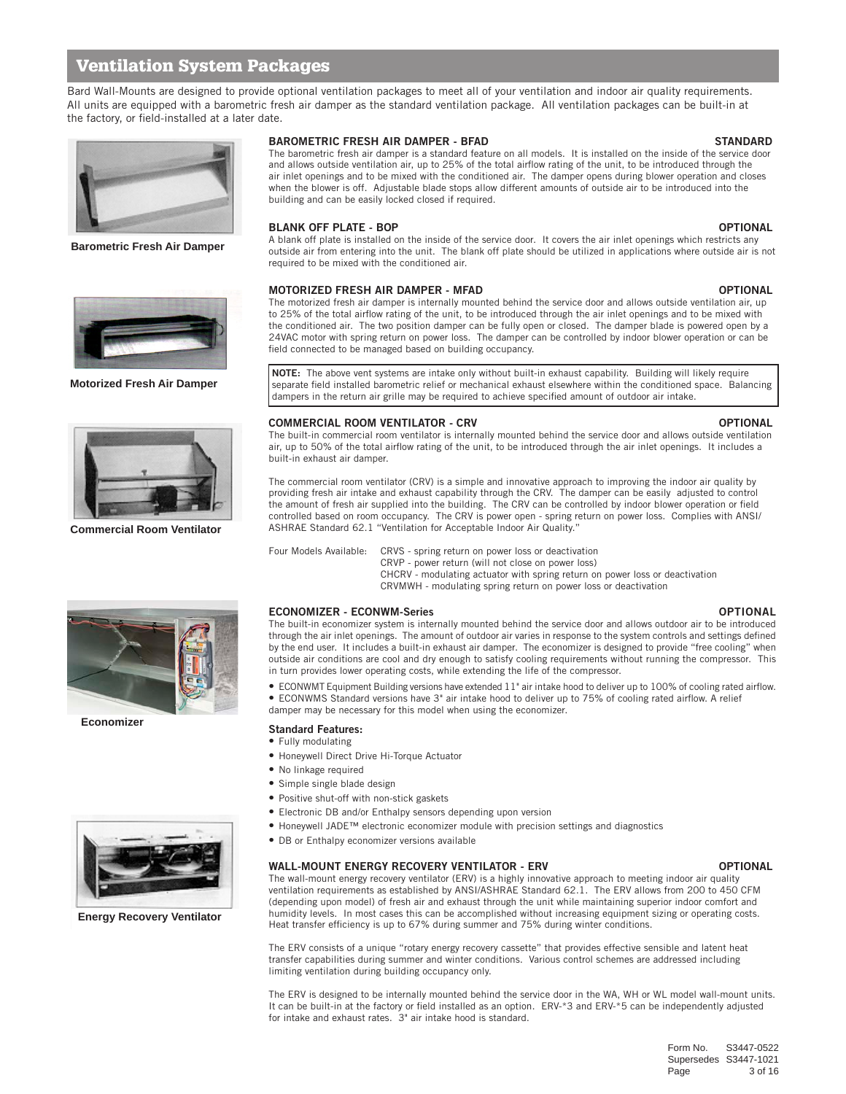## Ventilation System Packages

Bard Wall-Mounts are designed to provide optional ventilation packages to meet all of your ventilation and indoor air quality requirements. All units are equipped with a barometric fresh air damper as the standard ventilation package. All ventilation packages can be built-in at the factory, or field-installed at a later date.



**Barometric Fresh Air Damper**



**Motorized Fresh Air Damper**



**Commercial Room Ventilator**

## BAROMETRIC FRESH AIR DAMPER - BFAD STANDARD STANDARD

The barometric fresh air damper is a standard feature on all models. It is installed on the inside of the service door and allows outside ventilation air, up to 25% of the total airflow rating of the unit, to be introduced through the air inlet openings and to be mixed with the conditioned air. The damper opens during blower operation and closes when the blower is off. Adjustable blade stops allow different amounts of outside air to be introduced into the building and can be easily locked closed if required.

## BLANK OFF PLATE - BOP OPTIONAL

A blank off plate is installed on the inside of the service door. It covers the air inlet openings which restricts any outside air from entering into the unit. The blank off plate should be utilized in applications where outside air is not required to be mixed with the conditioned air.

## MOTORIZED FRESH AIR DAMPER - MFAD OPTIONAL

The motorized fresh air damper is internally mounted behind the service door and allows outside ventilation air, up to 25% of the total airflow rating of the unit, to be introduced through the air inlet openings and to be mixed with the conditioned air. The two position damper can be fully open or closed. The damper blade is powered open by a 24VAC motor with spring return on power loss. The damper can be controlled by indoor blower operation or can be field connected to be managed based on building occupancy.

NOTE: The above vent systems are intake only without built-in exhaust capability. Building will likely require separate field installed barometric relief or mechanical exhaust elsewhere within the conditioned space. Balancing dampers in the return air grille may be required to achieve specified amount of outdoor air intake.

## COMMERCIAL ROOM VENTILATOR - CRV OPTIONAL

The built-in commercial room ventilator is internally mounted behind the service door and allows outside ventilation air, up to 50% of the total airflow rating of the unit, to be introduced through the air inlet openings. It includes a built-in exhaust air damper.

The commercial room ventilator (CRV) is a simple and innovative approach to improving the indoor air quality by providing fresh air intake and exhaust capability through the CRV. The damper can be easily adjusted to control the amount of fresh air supplied into the building. The CRV can be controlled by indoor blower operation or field controlled based on room occupancy. The CRV is power open - spring return on power loss. Complies with ANSI/ ASHRAE Standard 62.1 "Ventilation for Acceptable Indoor Air Quality."

Four Models Available: CRVS - spring return on power loss or deactivation CRVP - power return (will not close on power loss) CHCRV - modulating actuator with spring return on power loss or deactivation CRVMWH - modulating spring return on power loss or deactivation

## ECONOMIZER - ECONWM-Series OPTIONAL

The built-in economizer system is internally mounted behind the service door and allows outdoor air to be introduced through the air inlet openings. The amount of outdoor air varies in response to the system controls and settings defined by the end user. It includes a built-in exhaust air damper. The economizer is designed to provide "free cooling" when outside air conditions are cool and dry enough to satisfy cooling requirements without running the compressor. This in turn provides lower operating costs, while extending the life of the compressor.

- ECONWMT Equipment Building versions have extended 11" air intake hood to deliver up to 100% of cooling rated airflow. • ECONWMS Standard versions have 3" air intake hood to deliver up to 75% of cooling rated airflow. A relief
- damper may be necessary for this model when using the economizer.

## Standard Features:

- Fully modulating
- Honeywell Direct Drive Hi-Torque Actuator
- No linkage required
- Simple single blade design
- Positive shut-off with non-stick gaskets
- Electronic DB and/or Enthalpy sensors depending upon version
- Honeywell JADE™ electronic economizer module with precision settings and diagnostics
- DB or Enthalpy economizer versions available

## WALL-MOUNT ENERGY RECOVERY VENTILATOR - ERV **OPTIONAL**

The wall-mount energy recovery ventilator (ERV) is a highly innovative approach to meeting indoor air quality ventilation requirements as established by ANSI/ASHRAE Standard 62.1. The ERV allows from 200 to 450 CFM (depending upon model) of fresh air and exhaust through the unit while maintaining superior indoor comfort and humidity levels. In most cases this can be accomplished without increasing equipment sizing or operating costs. Heat transfer efficiency is up to 67% during summer and 75% during winter conditions.

The ERV consists of a unique "rotary energy recovery cassette" that provides effective sensible and latent heat transfer capabilities during summer and winter conditions. Various control schemes are addressed including limiting ventilation during building occupancy only.

The ERV is designed to be internally mounted behind the service door in the WA, WH or WL model wall-mount units. It can be built-in at the factory or field installed as an option. ERV-\*3 and ERV-\*5 can be independently adjusted for intake and exhaust rates. 3" air intake hood is standard.

Form No. S3447-0522 Supersedes S3447-1021 Page

**Economizer**



**Energy Recovery Ventilator**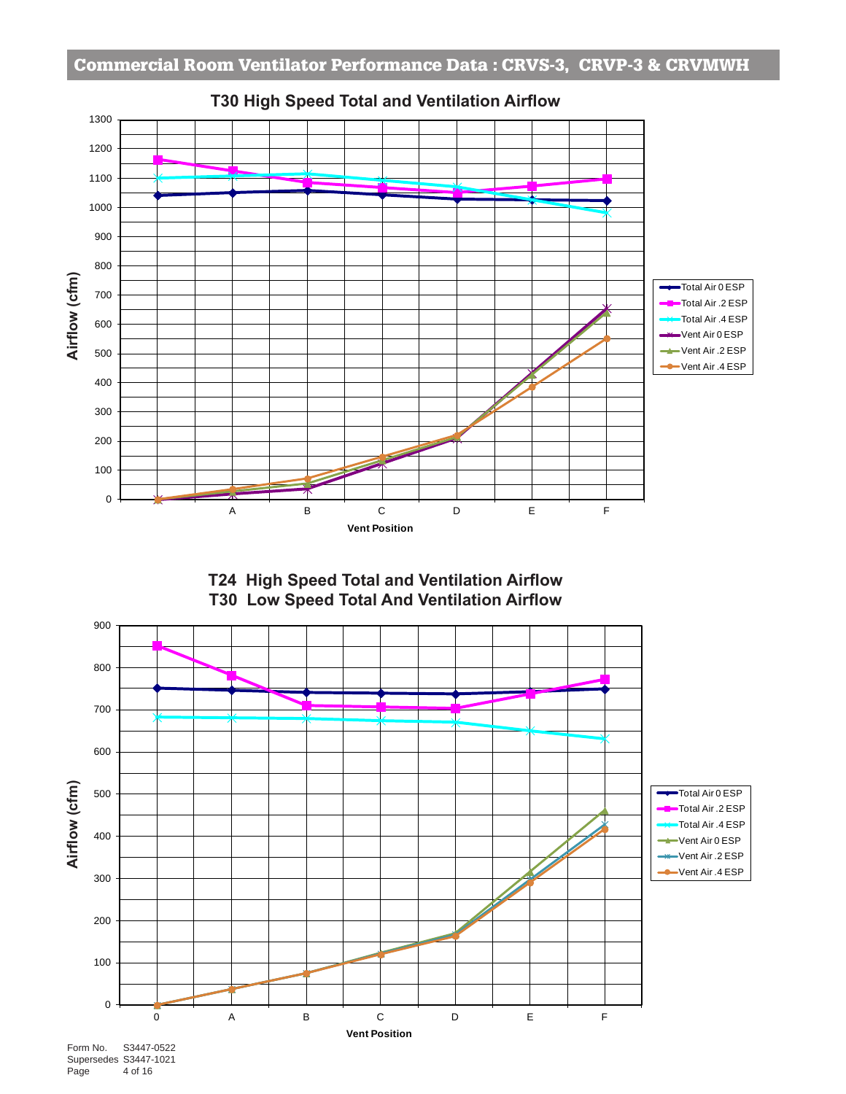





Commercial Room Ventilator Performance Data : CRVS-3, CRVP-3 & CRVMWH

Supersedes S3447-1021 4 of 16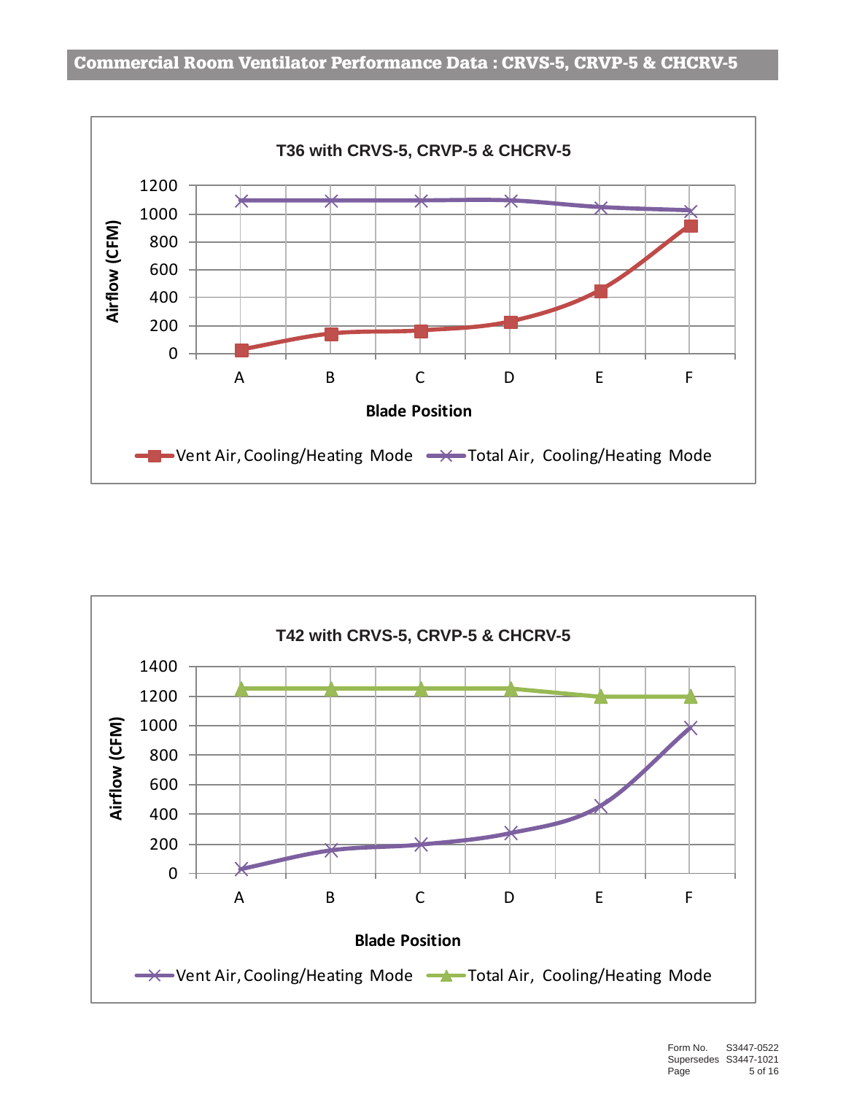



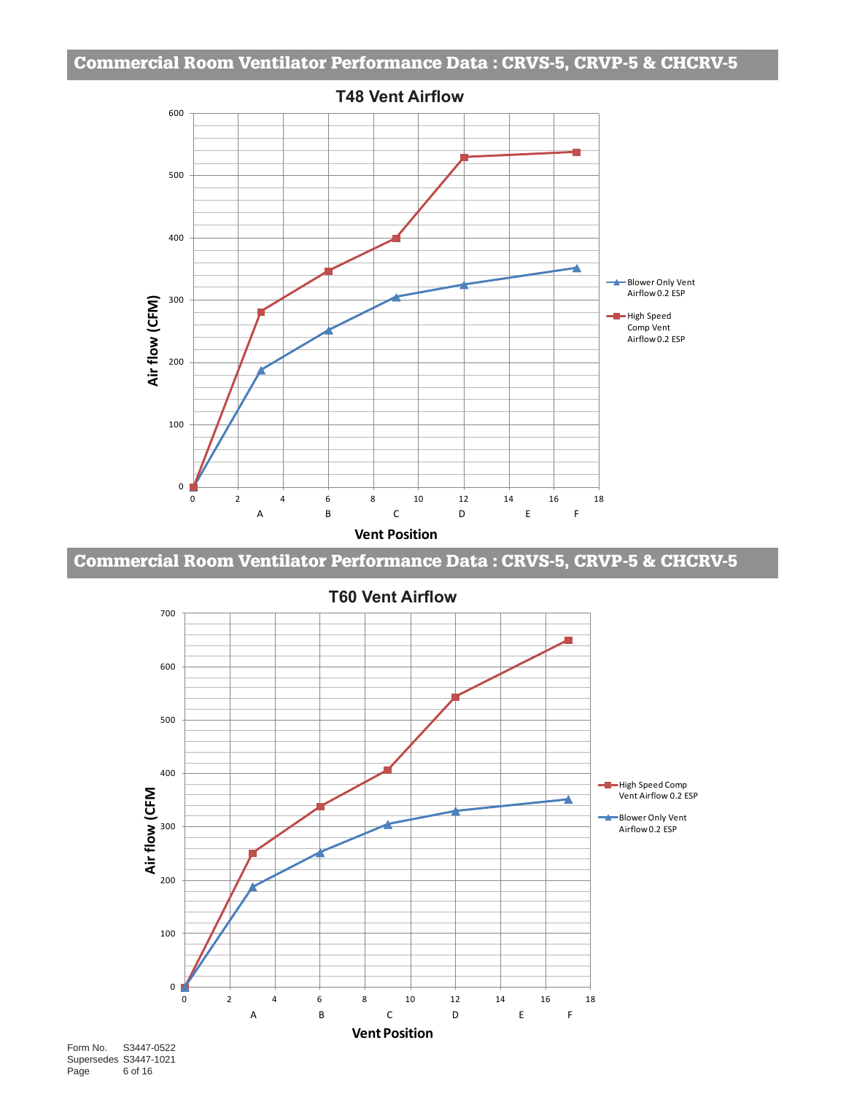

Commercial Room Ventilator Performance Data : CRVS-5, CRVP-5 & CHCRV-5



Form No. S3447-0522 Supersedes S3447-1021<br>Page 6 of 16 6 of 16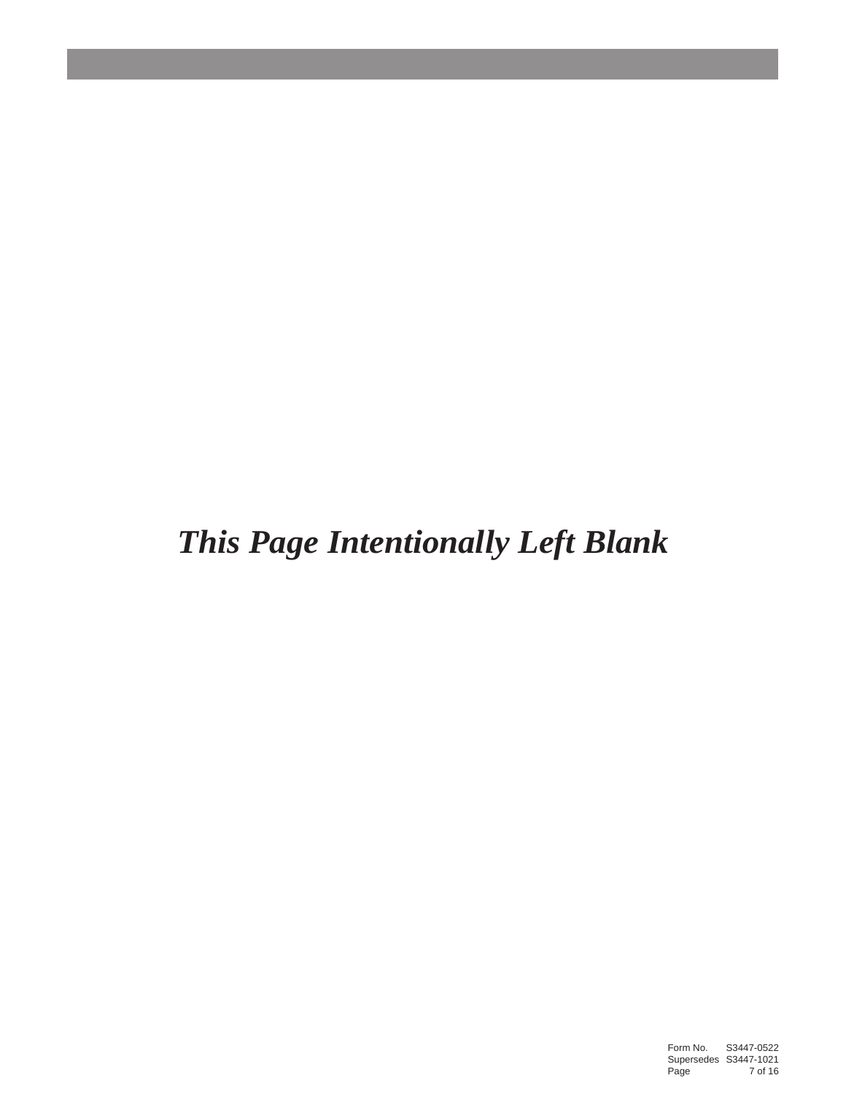# *This Page Intentionally Left Blank*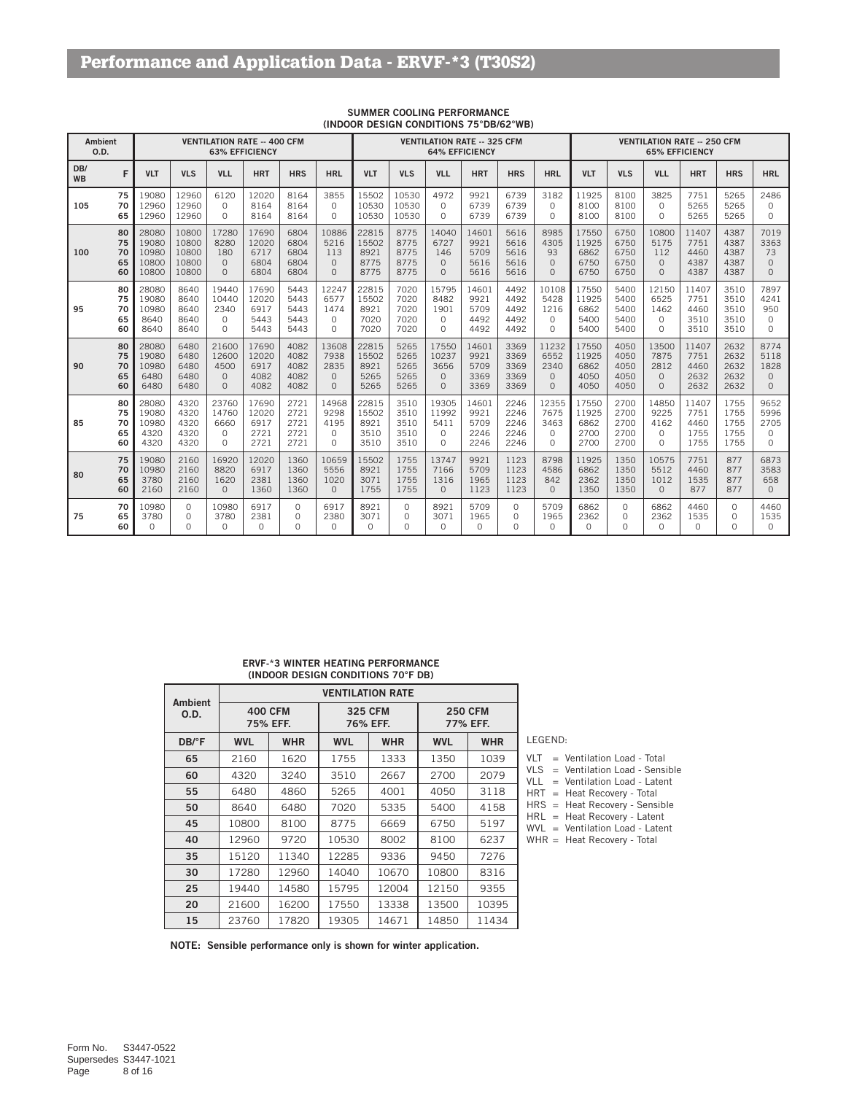| <b>Ambient</b><br>O.D. |    |            |            |              | <b>VENTILATION RATE -- 400 CFM</b><br><b>63% EFFICIENCY</b> |            |            |            |            | <b>VENTILATION RATE -- 325 CFM</b> | <b>64% EFFICIENCY</b> |            |            |            |            | <b>VENTILATION RATE -- 250 CFM</b> | <b>65% EFFICIENCY</b> |            |            |
|------------------------|----|------------|------------|--------------|-------------------------------------------------------------|------------|------------|------------|------------|------------------------------------|-----------------------|------------|------------|------------|------------|------------------------------------|-----------------------|------------|------------|
| DB/<br><b>WB</b>       | F  | <b>VLT</b> | <b>VLS</b> | <b>VLL</b>   | <b>HRT</b>                                                  | <b>HRS</b> | <b>HRL</b> | <b>VLT</b> | <b>VLS</b> | <b>VLL</b>                         | <b>HRT</b>            | <b>HRS</b> | <b>HRL</b> | <b>VLT</b> | <b>VLS</b> | <b>VLL</b>                         | <b>HRT</b>            | <b>HRS</b> | <b>HRL</b> |
| 105                    | 75 | 19080      | 12960      | 6120         | 12020                                                       | 8164       | 3855       | 15502      | 10530      | 4972                               | 9921                  | 6739       | 3182       | 11925      | 8100       | 3825                               | 7751                  | 5265       | 2486       |
|                        | 70 | 12960      | 12960      | $\Omega$     | 8164                                                        | 8164       | $\Omega$   | 10530      | 10530      | $\Omega$                           | 6739                  | 6739       | $\Omega$   | 8100       | 8100       | $\Omega$                           | 5265                  | 5265       | $\Omega$   |
|                        | 65 | 12960      | 12960      | $\Omega$     | 8164                                                        | 8164       | $\Omega$   | 10530      | 10530      | $\Omega$                           | 6739                  | 6739       | $\Omega$   | 8100       | 8100       | $\Omega$                           | 5265                  | 5265       | $\Omega$   |
| 100                    | 80 | 28080      | 10800      | 17280        | 17690                                                       | 6804       | 10886      | 22815      | 8775       | 14040                              | 14601                 | 5616       | 8985       | 17550      | 6750       | 10800                              | 11407                 | 4387       | 7019       |
|                        | 75 | 19080      | 10800      | 8280         | 12020                                                       | 6804       | 5216       | 15502      | 8775       | 6727                               | 9921                  | 5616       | 4305       | 11925      | 6750       | 5175                               | 7751                  | 4387       | 3363       |
|                        | 70 | 10980      | 10800      | 180          | 6717                                                        | 6804       | 113        | 8921       | 8775       | 146                                | 5709                  | 5616       | 93         | 6862       | 6750       | 112                                | 4460                  | 4387       | 73         |
|                        | 65 | 10800      | 10800      | $\mathbf{0}$ | 6804                                                        | 6804       | $\Omega$   | 8775       | 8775       | $\Omega$                           | 5616                  | 5616       | $\Omega$   | 6750       | 6750       | $\Omega$                           | 4387                  | 4387       | $\Omega$   |
|                        | 60 | 10800      | 10800      | $\mathbf{O}$ | 6804                                                        | 6804       | $\Omega$   | 8775       | 8775       | $\Omega$                           | 5616                  | 5616       | $\Omega$   | 6750       | 6750       | $\Omega$                           | 4387                  | 4387       | $\Omega$   |
| 95                     | 80 | 28080      | 8640       | 19440        | 17690                                                       | 5443       | 12247      | 22815      | 7020       | 15795                              | 14601                 | 4492       | 10108      | 17550      | 5400       | 12150                              | 11407                 | 3510       | 7897       |
|                        | 75 | 19080      | 8640       | 10440        | 12020                                                       | 5443       | 6577       | 15502      | 7020       | 8482                               | 9921                  | 4492       | 5428       | 11925      | 5400       | 6525                               | 7751                  | 3510       | 4241       |
|                        | 70 | 10980      | 8640       | 2340         | 6917                                                        | 5443       | 1474       | 8921       | 7020       | 1901                               | 5709                  | 4492       | 1216       | 6862       | 5400       | 1462                               | 4460                  | 3510       | 950        |
|                        | 65 | 8640       | 8640       | $\circ$      | 5443                                                        | 5443       | $\circ$    | 7020       | 7020       | $\circ$                            | 4492                  | 4492       | 0          | 5400       | 5400       | $\Omega$                           | 3510                  | 3510       | $\Omega$   |
|                        | 60 | 8640       | 8640       | $\Omega$     | 5443                                                        | 5443       | $\Omega$   | 7020       | 7020       | $\Omega$                           | 4492                  | 4492       | $\circ$    | 5400       | 5400       | $\Omega$                           | 3510                  | 3510       | $\Omega$   |
| 90                     | 80 | 28080      | 6480       | 21600        | 17690                                                       | 4082       | 13608      | 22815      | 5265       | 17550                              | 14601                 | 3369       | 11232      | 17550      | 4050       | 13500                              | 11407                 | 2632       | 8774       |
|                        | 75 | 19080      | 6480       | 12600        | 12020                                                       | 4082       | 7938       | 15502      | 5265       | 10237                              | 9921                  | 3369       | 6552       | 11925      | 4050       | 7875                               | 7751                  | 2632       | 5118       |
|                        | 70 | 10980      | 6480       | 4500         | 6917                                                        | 4082       | 2835       | 8921       | 5265       | 3656                               | 5709                  | 3369       | 2340       | 6862       | 4050       | 2812                               | 4460                  | 2632       | 1828       |
|                        | 65 | 6480       | 6480       | $\Omega$     | 4082                                                        | 4082       | $\Omega$   | 5265       | 5265       | $\Omega$                           | 3369                  | 3369       | $\Omega$   | 4050       | 4050       | $\Omega$                           | 2632                  | 2632       | $\Omega$   |
|                        | 60 | 6480       | 6480       | $\Omega$     | 4082                                                        | 4082       | $\Omega$   | 5265       | 5265       | $\Omega$                           | 3369                  | 3369       | $\Omega$   | 4050       | 4050       | $\Omega$                           | 2632                  | 2632       | $\Omega$   |
| 85                     | 80 | 28080      | 4320       | 23760        | 17690                                                       | 2721       | 14968      | 22815      | 3510       | 19305                              | 14601                 | 2246       | 12355      | 17550      | 2700       | 14850                              | 11407                 | 1755       | 9652       |
|                        | 75 | 19080      | 4320       | 14760        | 12020                                                       | 2721       | 9298       | 15502      | 3510       | 11992                              | 9921                  | 2246       | 7675       | 11925      | 2700       | 9225                               | 7751                  | 1755       | 5996       |
|                        | 70 | 10980      | 4320       | 6660         | 6917                                                        | 2721       | 4195       | 8921       | 3510       | 5411                               | 5709                  | 2246       | 3463       | 6862       | 2700       | 4162                               | 4460                  | 1755       | 2705       |
|                        | 65 | 4320       | 4320       | $\Omega$     | 2721                                                        | 2721       | $\Omega$   | 3510       | 3510       | $\Omega$                           | 2246                  | 2246       | $\Omega$   | 2700       | 2700       | $\Omega$                           | 1755                  | 1755       | $\Omega$   |
|                        | 60 | 4320       | 4320       | $\Omega$     | 2721                                                        | 2721       | $\Omega$   | 3510       | 3510       | $\Omega$                           | 2246                  | 2246       | $\Omega$   | 2700       | 2700       | $\Omega$                           | 1755                  | 1755       | $\Omega$   |
| 80                     | 75 | 19080      | 2160       | 16920        | 12020                                                       | 1360       | 10659      | 15502      | 1755       | 13747                              | 9921                  | 1123       | 8798       | 11925      | 1350       | 10575                              | 7751                  | 877        | 6873       |
|                        | 70 | 10980      | 2160       | 8820         | 6917                                                        | 1360       | 5556       | 8921       | 1755       | 7166                               | 5709                  | 1123       | 4586       | 6862       | 1350       | 5512                               | 4460                  | 877        | 3583       |
|                        | 65 | 3780       | 2160       | 1620         | 2381                                                        | 1360       | 1020       | 3071       | 1755       | 1316                               | 1965                  | 1123       | 842        | 2362       | 1350       | 1012                               | 1535                  | 877        | 658        |
|                        | 60 | 2160       | 2160       | $\Omega$     | 1360                                                        | 1360       | $\Omega$   | 1755       | 1755       | $\Omega$                           | 1123                  | 1123       | $\Omega$   | 1350       | 1350       | $\Omega$                           | 877                   | 877        | $\Omega$   |
| 75                     | 70 | 10980      | $\Omega$   | 10980        | 6917                                                        | $\Omega$   | 6917       | 8921       | $\Omega$   | 8921                               | 5709                  | $\Omega$   | 5709       | 6862       | $\Omega$   | 6862                               | 4460                  | $\Omega$   | 4460       |
|                        | 65 | 3780       | $\circ$    | 3780         | 2381                                                        | $\circ$    | 2380       | 3071       | $\Omega$   | 3071                               | 1965                  | 0          | 1965       | 2362       | $\circ$    | 2362                               | 1535                  | $\Omega$   | 1535       |
|                        | 60 | $\Omega$   | $\Omega$   | $\Omega$     | $\Omega$                                                    | $\Omega$   | $\Omega$   | $\Omega$   | $\Omega$   | $\Omega$                           | $\Omega$              | $\Omega$   | $\Omega$   | $\Omega$   | $\Omega$   | $\Omega$                           | $\Omega$              | $\Omega$   | $\Omega$   |

## SUMMER COOLING PERFORMANCE (INDOOR DESIGN CONDITIONS 75°DB/62°WB)

## ERVF-\*3 WINTER HEATING PERFORMANCE (INDOOR DESIGN CONDITIONS 70°F DB)

| Ambient<br>0.D.                      |                            |            |            | <b>VENTILATION RATE</b>    |            |                |  |
|--------------------------------------|----------------------------|------------|------------|----------------------------|------------|----------------|--|
|                                      | <b>400 CFM</b><br>75% EFF. |            |            | <b>325 CFM</b><br>76% EFF. | 77% EFF.   | <b>250 CFM</b> |  |
| $DB$ <sup><math>\circ</math></sup> F | <b>WVL</b>                 | <b>WHR</b> | <b>WVL</b> | <b>WHR</b>                 | <b>WVL</b> | <b>WHR</b>     |  |
| 65                                   | 2160                       | 1620       | 1755       | 1333                       | 1350       | 1039           |  |
| 60                                   | 4320                       | 3240       | 3510       | 2667                       | 2700       | 2079           |  |
| 55                                   | 6480                       | 4860       | 5265       | 4001                       | 4050       | 3118           |  |
| 50                                   | 8640                       | 6480       | 7020       | 5335                       | 5400       | 4158           |  |
| 45                                   | 10800                      | 8100       | 8775       | 6669                       | 6750       | 5197           |  |
| 40                                   | 12960                      | 9720       | 10530      | 8002                       | 8100       | 6237           |  |
| 35                                   | 15120                      | 11340      | 12285      | 9336                       | 9450       | 7276           |  |
| 30                                   | 17280                      | 12960      | 14040      | 10670                      | 10800      | 8316           |  |
| 25                                   | 14580<br>19440             |            | 15795      | 12004                      | 12150      | 9355           |  |
| 20                                   | 21600                      | 16200      | 17550      | 13338                      | 13500      | 10395          |  |
| 15                                   | 23760                      | 17820      | 19305      | 14671                      | 14850      | 11434          |  |

## LEGEND:

- VLT = Ventilation Load Total
- VLS = Ventilation Load Sensible
- VLL = Ventilation Load Latent
- HRT = Heat Recovery Total
- HRS = Heat Recovery Sensible
- HRL = Heat Recovery Latent
- WVL = Ventilation Load Latent
- WHR = Heat Recovery Total

NOTE: Sensible performance only is shown for winter application.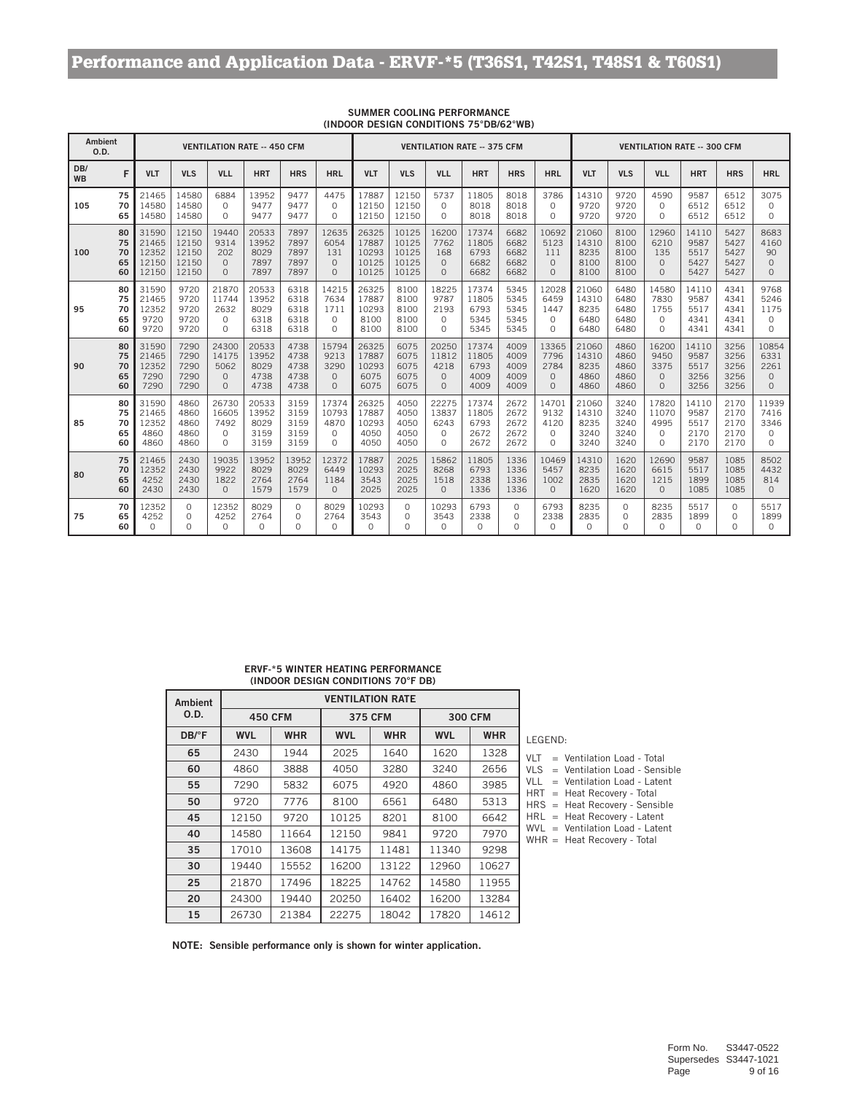| <b>Ambient</b><br>O.D. |    |            | <b>VENTILATION RATE -- 450 CFM</b> |            |            |            |            |            | <b>VENTILATION RATE -- 375 CFM</b> |            |            |            |            |            |            | <b>VENTILATION RATE -- 300 CFM</b> |            |            |            |
|------------------------|----|------------|------------------------------------|------------|------------|------------|------------|------------|------------------------------------|------------|------------|------------|------------|------------|------------|------------------------------------|------------|------------|------------|
| DB/<br><b>WB</b>       | F  | <b>VLT</b> | <b>VLS</b>                         | <b>VLL</b> | <b>HRT</b> | <b>HRS</b> | <b>HRL</b> | <b>VLT</b> | <b>VLS</b>                         | <b>VLL</b> | <b>HRT</b> | <b>HRS</b> | <b>HRL</b> | <b>VLT</b> | <b>VLS</b> | <b>VLL</b>                         | <b>HRT</b> | <b>HRS</b> | <b>HRL</b> |
| 105                    | 75 | 21465      | 14580                              | 6884       | 13952      | 9477       | 4475       | 17887      | 12150                              | 5737       | 11805      | 8018       | 3786       | 14310      | 9720       | 4590                               | 9587       | 6512       | 3075       |
|                        | 70 | 14580      | 14580                              | $\Omega$   | 9477       | 9477       | $\circ$    | 12150      | 12150                              | $\Omega$   | 8018       | 8018       | $\circ$    | 9720       | 9720       | $\circ$                            | 6512       | 6512       | $\Omega$   |
|                        | 65 | 14580      | 14580                              | $\Omega$   | 9477       | 9477       | $\Omega$   | 12150      | 12150                              | $\Omega$   | 8018       | 8018       | $\Omega$   | 9720       | 9720       | $\Omega$                           | 6512       | 6512       | $\Omega$   |
| 100                    | 80 | 31590      | 12150                              | 19440      | 20533      | 7897       | 12635      | 26325      | 10125                              | 16200      | 17374      | 6682       | 10692      | 21060      | 8100       | 12960                              | 14110      | 5427       | 8683       |
|                        | 75 | 21465      | 12150                              | 9314       | 13952      | 7897       | 6054       | 17887      | 10125                              | 7762       | 11805      | 6682       | 5123       | 14310      | 8100       | 6210                               | 9587       | 5427       | 4160       |
|                        | 70 | 12352      | 12150                              | 202        | 8029       | 7897       | 131        | 10293      | 10125                              | 168        | 6793       | 6682       | 111        | 8235       | 8100       | 135                                | 5517       | 5427       | 90         |
|                        | 65 | 12150      | 12150                              | $\Omega$   | 7897       | 7897       | $\circ$    | 10125      | 10125                              | $\Omega$   | 6682       | 6682       | $\Omega$   | 8100       | 8100       | $\Omega$                           | 5427       | 5427       | $\circ$    |
|                        | 60 | 12150      | 12150                              | $\Omega$   | 7897       | 7897       | $\Omega$   | 10125      | 10125                              | $\Omega$   | 6682       | 6682       | $\Omega$   | 8100       | 8100       | $\Omega$                           | 5427       | 5427       | $\Omega$   |
| 95                     | 80 | 31590      | 9720                               | 21870      | 20533      | 6318       | 14215      | 26325      | 8100                               | 18225      | 17374      | 5345       | 12028      | 21060      | 6480       | 14580                              | 14110      | 4341       | 9768       |
|                        | 75 | 21465      | 9720                               | 11744      | 13952      | 6318       | 7634       | 17887      | 8100                               | 9787       | 11805      | 5345       | 6459       | 14310      | 6480       | 7830                               | 9587       | 4341       | 5246       |
|                        | 70 | 12352      | 9720                               | 2632       | 8029       | 6318       | 1711       | 10293      | 8100                               | 2193       | 6793       | 5345       | 1447       | 8235       | 6480       | 1755                               | 5517       | 4341       | 1175       |
|                        | 65 | 9720       | 9720                               | $\circ$    | 6318       | 6318       | $\Omega$   | 8100       | 8100                               | $\Omega$   | 5345       | 5345       | $\circ$    | 6480       | 6480       | $\Omega$                           | 4341       | 4341       | $\Omega$   |
|                        | 60 | 9720       | 9720                               | $\Omega$   | 6318       | 6318       | $\Omega$   | 8100       | 8100                               | $\circ$    | 5345       | 5345       | 0          | 6480       | 6480       | $\Omega$                           | 4341       | 4341       | $\Omega$   |
| 90                     | 80 | 31590      | 7290                               | 24300      | 20533      | 4738       | 15794      | 26325      | 6075                               | 20250      | 17374      | 4009       | 13365      | 21060      | 4860       | 16200                              | 14110      | 3256       | 10854      |
|                        | 75 | 21465      | 7290                               | 14175      | 13952      | 4738       | 9213       | 17887      | 6075                               | 11812      | 11805      | 4009       | 7796       | 14310      | 4860       | 9450                               | 9587       | 3256       | 6331       |
|                        | 70 | 12352      | 7290                               | 5062       | 8029       | 4738       | 3290       | 10293      | 6075                               | 4218       | 6793       | 4009       | 2784       | 8235       | 4860       | 3375                               | 5517       | 3256       | 2261       |
|                        | 65 | 7290       | 7290                               | $\Omega$   | 4738       | 4738       | $\Omega$   | 6075       | 6075                               | $\Omega$   | 4009       | 4009       | $\Omega$   | 4860       | 4860       | $\Omega$                           | 3256       | 3256       | $\Omega$   |
|                        | 60 | 7290       | 7290                               | $\Omega$   | 4738       | 4738       | $\Omega$   | 6075       | 6075                               | $\Omega$   | 4009       | 4009       | $\circ$    | 4860       | 4860       | $\Omega$                           | 3256       | 3256       | $\Omega$   |
| 85                     | 80 | 31590      | 4860                               | 26730      | 20533      | 3159       | 17374      | 26325      | 4050                               | 22275      | 17374      | 2672       | 14701      | 21060      | 3240       | 17820                              | 14110      | 2170       | 11939      |
|                        | 75 | 21465      | 4860                               | 16605      | 13952      | 3159       | 10793      | 17887      | 4050                               | 13837      | 11805      | 2672       | 9132       | 14310      | 3240       | 11070                              | 9587       | 2170       | 7416       |
|                        | 70 | 12352      | 4860                               | 7492       | 8029       | 3159       | 4870       | 10293      | 4050                               | 6243       | 6793       | 2672       | 4120       | 8235       | 3240       | 4995                               | 5517       | 2170       | 3346       |
|                        | 65 | 4860       | 4860                               | $\circ$    | 3159       | 3159       | $\Omega$   | 4050       | 4050                               | $\Omega$   | 2672       | 2672       | $\Omega$   | 3240       | 3240       | $\Omega$                           | 2170       | 2170       | $\Omega$   |
|                        | 60 | 4860       | 4860                               | $\Omega$   | 3159       | 3159       | $\Omega$   | 4050       | 4050                               | $\Omega$   | 2672       | 2672       | $\Omega$   | 3240       | 3240       | $\Omega$                           | 2170       | 2170       | $\Omega$   |
| 80                     | 75 | 21465      | 2430                               | 19035      | 13952      | 13952      | 12372      | 17887      | 2025                               | 15862      | 11805      | 1336       | 10469      | 14310      | 1620       | 12690                              | 9587       | 1085       | 8502       |
|                        | 70 | 12352      | 2430                               | 9922       | 8029       | 8029       | 6449       | 10293      | 2025                               | 8268       | 6793       | 1336       | 5457       | 8235       | 1620       | 6615                               | 5517       | 1085       | 4432       |
|                        | 65 | 4252       | 2430                               | 1822       | 2764       | 2764       | 1184       | 3543       | 2025                               | 1518       | 2338       | 1336       | 1002       | 2835       | 1620       | 1215                               | 1899       | 1085       | 814        |
|                        | 60 | 2430       | 2430                               | $\Omega$   | 1579       | 1579       | $\Omega$   | 2025       | 2025                               | $\Omega$   | 1336       | 1336       | $\Omega$   | 1620       | 1620       | $\Omega$                           | 1085       | 1085       | $\Omega$   |
| 75                     | 70 | 12352      | $\circ$                            | 12352      | 8029       | 0          | 8029       | 10293      | $\mathbf 0$                        | 10293      | 6793       | $\Omega$   | 6793       | 8235       | 0          | 8235                               | 5517       | $\Omega$   | 5517       |
|                        | 65 | 4252       | $\Omega$                           | 4252       | 2764       | $\circ$    | 2764       | 3543       | $\Omega$                           | 3543       | 2338       | 0          | 2338       | 2835       | $\Omega$   | 2835                               | 1899       | $\Omega$   | 1899       |
|                        | 60 | $\Omega$   | $\Omega$                           | $\Omega$   | $\Omega$   | $\Omega$   | $\Omega$   | $\Omega$   | $\Omega$                           | $\Omega$   | $\Omega$   | $\Omega$   | $\Omega$   | $\Omega$   | $\Omega$   | $\Omega$                           | $\Omega$   | $\Omega$   | $\Omega$   |

### SUMMER COOLING PERFORMANCE (INDOOR DESIGN CONDITIONS 75°DB/62°WB)

#### ERVF-\*5 WINTER HEATING PERFORMANCE (INDOOR DESIGN CONDITIONS 70°F DB)

| <b>Ambient</b>                       | <b>VENTILATION RATE</b> |                |            |            |            |                |  |  |  |  |  |  |
|--------------------------------------|-------------------------|----------------|------------|------------|------------|----------------|--|--|--|--|--|--|
| 0.D.                                 |                         | <b>450 CFM</b> |            | 375 CFM    |            | <b>300 CFM</b> |  |  |  |  |  |  |
| $DB$ <sup><math>\circ</math></sup> F | <b>WVL</b>              | <b>WHR</b>     | <b>WVL</b> | <b>WHR</b> | <b>WVL</b> | <b>WHR</b>     |  |  |  |  |  |  |
| 65                                   | 2430                    | 1944           | 2025       | 1640       | 1620       | 1328           |  |  |  |  |  |  |
| 60                                   | 4860                    | 3888           | 4050       | 3280       | 3240       | 2656           |  |  |  |  |  |  |
| 55                                   | 7290                    | 5832           | 6075       | 4920       | 4860       | 3985           |  |  |  |  |  |  |
| 50                                   | 9720                    | 7776           | 8100       | 6561       | 6480       | 5313           |  |  |  |  |  |  |
| 45                                   | 12150<br>9720           |                | 10125      | 8201       | 8100       | 6642           |  |  |  |  |  |  |
| 40                                   | 14580                   | 11664          | 12150      | 9841       | 9720       | 7970           |  |  |  |  |  |  |
| 35                                   | 17010                   | 13608          | 14175      | 11481      | 11340      | 9298           |  |  |  |  |  |  |
| 30                                   | 19440                   | 15552          | 16200      | 13122      | 12960      | 10627          |  |  |  |  |  |  |
| 25                                   | 21870                   | 17496          | 18225      | 14762      | 14580      | 11955          |  |  |  |  |  |  |
| 20                                   | 24300                   | 19440          |            | 16402      | 16200      | 13284          |  |  |  |  |  |  |
| 15                                   | 26730                   | 21384          | 22275      | 18042      | 17820      | 14612          |  |  |  |  |  |  |

## LEGEND:

|  | VLT = Ventilation Load - Total    |
|--|-----------------------------------|
|  | VLS = Ventilation Load - Sensible |
|  | VLL = Ventilation Load - Latent   |
|  | HRT = Heat Recovery - Total       |
|  |                                   |

- HRS = Heat Recovery Sensible
- HRL = Heat Recovery Latent
- $WVL = V$ entilation Load Latent
- WHR = Heat Recovery Total

NOTE: Sensible performance only is shown for winter application.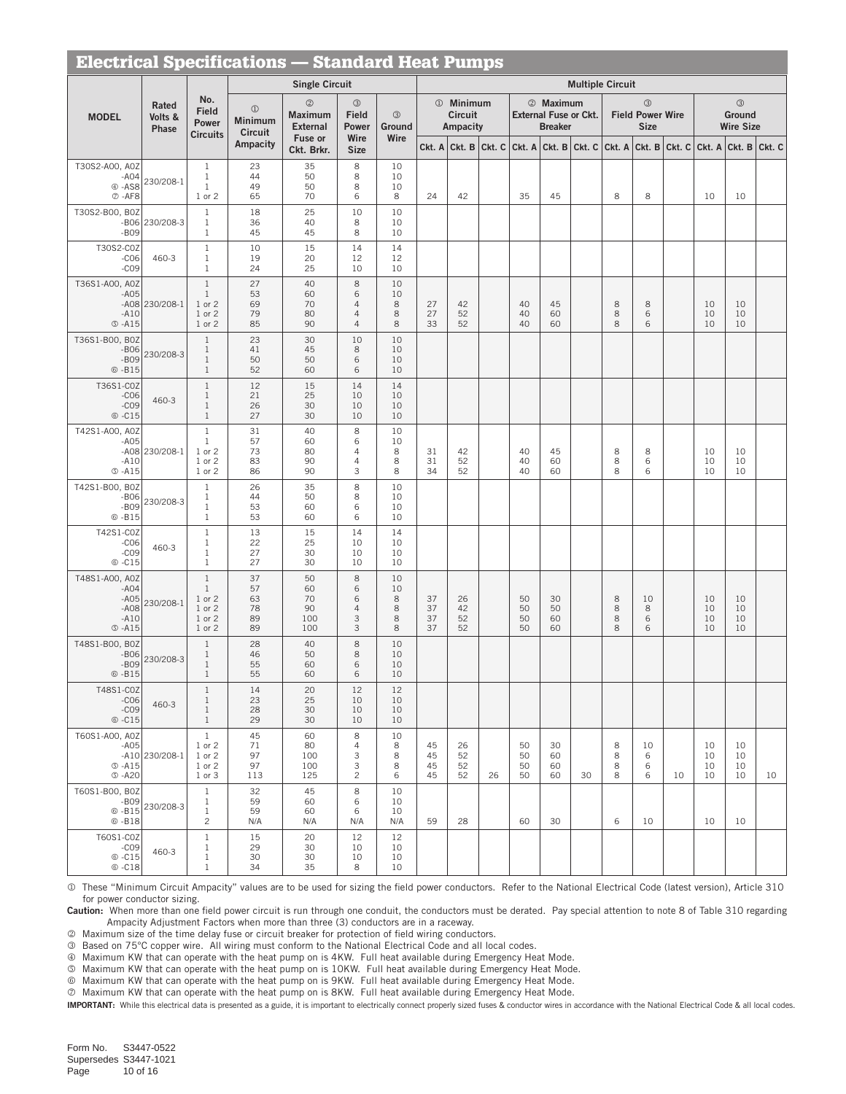| <b>Electrical Specifications — Standard Heat Pumps</b>              |                           |                                                                |                                     |                                                     |                                                          |                              |                      |                                                       |    |                      |                                                             |    |                         |                                                         |        |                      |                                             |    |
|---------------------------------------------------------------------|---------------------------|----------------------------------------------------------------|-------------------------------------|-----------------------------------------------------|----------------------------------------------------------|------------------------------|----------------------|-------------------------------------------------------|----|----------------------|-------------------------------------------------------------|----|-------------------------|---------------------------------------------------------|--------|----------------------|---------------------------------------------|----|
|                                                                     |                           |                                                                |                                     | <b>Single Circuit</b>                               |                                                          |                              |                      |                                                       |    |                      |                                                             |    | <b>Multiple Circuit</b> |                                                         |        |                      |                                             |    |
| <b>MODEL</b>                                                        | Rated<br>Volts &<br>Phase | No.<br><b>Field</b><br><b>Power</b><br><b>Circuits</b>         | $\circled{1}$<br>Minimum<br>Circuit | $^{\circledR}$<br><b>Maximum</b><br><b>External</b> | $\circled{3}$<br><b>Field</b><br><b>Power</b>            | $\circled{3}$<br>Ground      |                      | <b>1</b> Minimum<br><b>Circuit</b><br><b>Ampacity</b> |    |                      | 2 Maximum<br><b>External Fuse or Ckt.</b><br><b>Breaker</b> |    |                         | $\circled{3}$<br><b>Field Power Wire</b><br><b>Size</b> |        |                      | $\circled{3}$<br>Ground<br><b>Wire Size</b> |    |
|                                                                     |                           |                                                                | Ampacity                            | Fuse or<br>Ckt. Brkr.                               | Wire<br><b>Size</b>                                      | Wire                         |                      | Ckt. A Ckt. B Ckt. C                                  |    | Ckt. A               | Ckt. B Ckt. C                                               |    |                         | Ckt. A/Ckt. B                                           | Ckt. C |                      | Ckt. A Ckt. B Ckt. C                        |    |
| T30S2-A00, A0Z<br>$-AO4$<br>4 - AS8<br>$@ - AF8$                    | 230/208-1                 | $\mathbf{1}$<br>$1\,$<br>$\,1\,$<br>1 or 2                     | 23<br>44<br>49<br>65                | 35<br>50<br>50<br>70                                | 8<br>8<br>8<br>6                                         | 10<br>10<br>10<br>8          | 24                   | 42                                                    |    | 35                   | 45                                                          |    | 8                       | 8                                                       |        | 10                   | 10                                          |    |
| T30S2-B00, B0Z<br>$-B09$                                            | -B06 230/208-3            | $\mathbf{1}$<br>$\mathbf{1}$<br>$1\,$                          | 18<br>36<br>45                      | 25<br>40<br>45                                      | 10<br>8<br>8                                             | 10<br>10<br>10               |                      |                                                       |    |                      |                                                             |    |                         |                                                         |        |                      |                                             |    |
| T30S2-C0Z<br>$-C06$<br>$-CO9$                                       | 460-3                     | $\mathbf{1}$<br>$1\,$<br>$\mathbf{1}$                          | 10<br>19<br>24                      | 15<br>20<br>25                                      | 14<br>12<br>10                                           | 14<br>12<br>10               |                      |                                                       |    |                      |                                                             |    |                         |                                                         |        |                      |                                             |    |
| T36S1-A00, A0Z<br>$-AO5$<br>$-A10$<br>$O - A15$                     | $-AO8$ 230/208-1          | $1\,$<br>$\,1\,$<br>1 or 2<br>1 or 2<br>1 or 2                 | 27<br>53<br>69<br>79<br>85          | 40<br>60<br>70<br>80<br>90                          | 8<br>6<br>$\overline{4}$<br>$\overline{4}$<br>$\sqrt{4}$ | 10<br>10<br>8<br>8<br>8      | 27<br>27<br>33       | 42<br>52<br>52                                        |    | 40<br>40<br>40       | 45<br>60<br>60                                              |    | 8<br>8<br>8             | 8<br>6<br>6                                             |        | 10<br>10<br>10       | 10<br>10<br>10                              |    |
| T36S1-B00, B0Z<br>$-B06$<br>$-B09$<br>$@ - B15$                     | 230/208-3                 | $\,1\,$<br>$\,1\,$<br>$\,1\,$<br>$\,1\,$                       | 23<br>41<br>50<br>52                | 30<br>45<br>50<br>60                                | 10<br>8<br>6<br>6                                        | 10<br>10<br>10<br>10         |                      |                                                       |    |                      |                                                             |    |                         |                                                         |        |                      |                                             |    |
| T36S1-C0Z<br>$-C06$<br>$-CO9$<br>6-C15                              | 460-3                     | $\,1\,$<br>$1\,$<br>$\mathbf{1}$<br>$\mathbf{1}$               | 12<br>21<br>26<br>27                | 15<br>25<br>30<br>30                                | 14<br>10<br>10<br>10                                     | 14<br>10<br>10<br>10         |                      |                                                       |    |                      |                                                             |    |                         |                                                         |        |                      |                                             |    |
| T42S1-A00, A0Z<br>$-AO5$<br>$-AO8$<br>$-A10$<br>$O - A15$           | 230/208-1                 | $\,1\,$<br>$\mathbf{1}$<br>1 or 2<br>1 or 2<br>1 or 2          | 31<br>57<br>73<br>83<br>86          | 40<br>60<br>80<br>90<br>90                          | 8<br>6<br>$\overline{4}$<br>$\overline{4}$<br>3          | 10<br>10<br>8<br>8<br>8      | 31<br>31<br>34       | 42<br>52<br>52                                        |    | 40<br>40<br>40       | 45<br>60<br>60                                              |    | 8<br>8<br>8             | 8<br>6<br>6                                             |        | 10<br>10<br>10       | 10<br>10<br>10                              |    |
| T42S1-B00, B0Z<br>$-B06$<br>$-B09$<br>$@ - B15$                     | 230/208-3                 | $1\,$<br>$\,1\,$<br>$\,1\,$<br>$1\,$                           | 26<br>44<br>53<br>53                | 35<br>50<br>60<br>60                                | 8<br>8<br>6<br>6                                         | 10<br>10<br>10<br>10         |                      |                                                       |    |                      |                                                             |    |                         |                                                         |        |                      |                                             |    |
| T42S1-C0Z<br>$-C06$<br>$-CO9$<br>6 -C15                             | 460-3                     | $\,1\,$<br>$1\,$<br>$\mathbf{1}$<br>$\mathbf{1}$               | 13<br>22<br>27<br>27                | 15<br>25<br>30<br>30                                | 14<br>10<br>10<br>10                                     | 14<br>10<br>10<br>10         |                      |                                                       |    |                      |                                                             |    |                         |                                                         |        |                      |                                             |    |
| T48S1-A00, A0Z<br>$-AO4$<br>$-AO5$<br>$-AO8$<br>$-A10$<br>$O - A15$ | 230/208-1                 | $\,1\,$<br>$\,1\,$<br>1 or 2<br>1 or 2<br>$1$ or $2$<br>1 or 2 | 37<br>57<br>63<br>78<br>89<br>89    | 50<br>60<br>70<br>90<br>100<br>100                  | 8<br>6<br>6<br>$\overline{4}$<br>3<br>3                  | 10<br>10<br>8<br>8<br>8<br>8 | 37<br>37<br>37<br>37 | 26<br>42<br>52<br>52                                  |    | 50<br>50<br>50<br>50 | 30<br>50<br>60<br>60                                        |    | 8<br>8<br>8<br>8        | 10<br>8<br>6<br>6                                       |        | 10<br>10<br>10<br>10 | 10<br>10<br>10<br>10                        |    |
| T48S1-B00, B0Z<br>$-B06$<br>$-B09$<br>$@ - B15$                     | 230/208-3                 | $\mathbf{1}$<br>$\mathbf{1}$<br>$\mathbf{1}$<br>$\mathbf{1}$   | 28<br>46<br>55<br>55                | 40<br>50<br>60<br>60                                | 8<br>8<br>6<br>6                                         | 10<br>10<br>10<br>10         |                      |                                                       |    |                      |                                                             |    |                         |                                                         |        |                      |                                             |    |
| T48S1-C0Z<br>$-C06$<br>$-CO9$<br>6-C15                              | 460-3                     | $\mathbf{1}$<br>$\mathbf{1}$<br>$\mathbf{1}$<br>$\mathbf{1}$   | 14<br>23<br>28<br>29                | 20<br>25<br>30<br>30                                | 12<br>10<br>10<br>10                                     | 12<br>10<br>10<br>10         |                      |                                                       |    |                      |                                                             |    |                         |                                                         |        |                      |                                             |    |
| T60S1-A00, A0Z<br>$-AO5$<br>$\circ-A15$<br><b>5-A20</b>             | $-A10$  230/208-1         | $\mathbf{1}$<br>1 or 2<br>1 or 2<br>1 or 2<br>$1$ or $3$       | 45<br>71<br>97<br>97<br>113         | 60<br>80<br>100<br>100<br>125                       | 8<br>4<br>3<br>3<br>$\overline{c}$                       | 10<br>8<br>8<br>8<br>6       | 45<br>45<br>45<br>45 | 26<br>52<br>52<br>52                                  | 26 | 50<br>50<br>50<br>50 | 30<br>60<br>60<br>60                                        | 30 | 8<br>8<br>8<br>8        | 10<br>6<br>6<br>6                                       | 10     | 10<br>10<br>10<br>10 | 10<br>10<br>10<br>10                        | 10 |
| T60S1-B00, B0Z<br>-B09 <br>$@ - B15$<br>$@ - B18$                   | 230/208-3                 | $\,1$<br>$\,1\,$<br>$\mathbf{1}$<br>$\overline{c}$             | 32<br>59<br>59<br>N/A               | 45<br>60<br>60<br>N/A                               | 8<br>6<br>6<br>N/A                                       | 10<br>10<br>10<br>N/A        | 59                   | 28                                                    |    | 60                   | 30                                                          |    | 6                       | 10                                                      |        | 10                   | 10                                          |    |
| T60S1-C0Z<br>$-C09$<br>$@ - C15$<br>6 - C18                         | 460-3                     | $1\,$<br>$\mathbf{1}$<br>$1\,$<br>$\mathbf{1}$                 | 15<br>29<br>30<br>34                | 20<br>30<br>30<br>35                                | 12<br>10<br>10<br>8                                      | 12<br>10<br>10<br>10         |                      |                                                       |    |                      |                                                             |    |                         |                                                         |        |                      |                                             |    |

 These "Minimum Circuit Ampacity" values are to be used for sizing the field power conductors. Refer to the National Electrical Code (latest version), Article 310 for power conductor sizing.

Caution: When more than one field power circuit is run through one conduit, the conductors must be derated. Pay special attention to note 8 of Table 310 regarding Ampacity Adjustment Factors when more than three (3) conductors are in a raceway.

Maximum size of the time delay fuse or circuit breaker for protection of field wiring conductors.

Based on 75°C copper wire. All wiring must conform to the National Electrical Code and all local codes.

Maximum KW that can operate with the heat pump on is 4KW. Full heat available during Emergency Heat Mode.

Maximum KW that can operate with the heat pump on is 10KW. Full heat available during Emergency Heat Mode.

Maximum KW that can operate with the heat pump on is 9KW. Full heat available during Emergency Heat Mode.

Maximum KW that can operate with the heat pump on is 8KW. Full heat available during Emergency Heat Mode.

IMPORTANT: While this electrical data is presented as a guide, it is important to electrically connect properly sized fuses & conductor wires in accordance with the National Electrical Code & all local codes.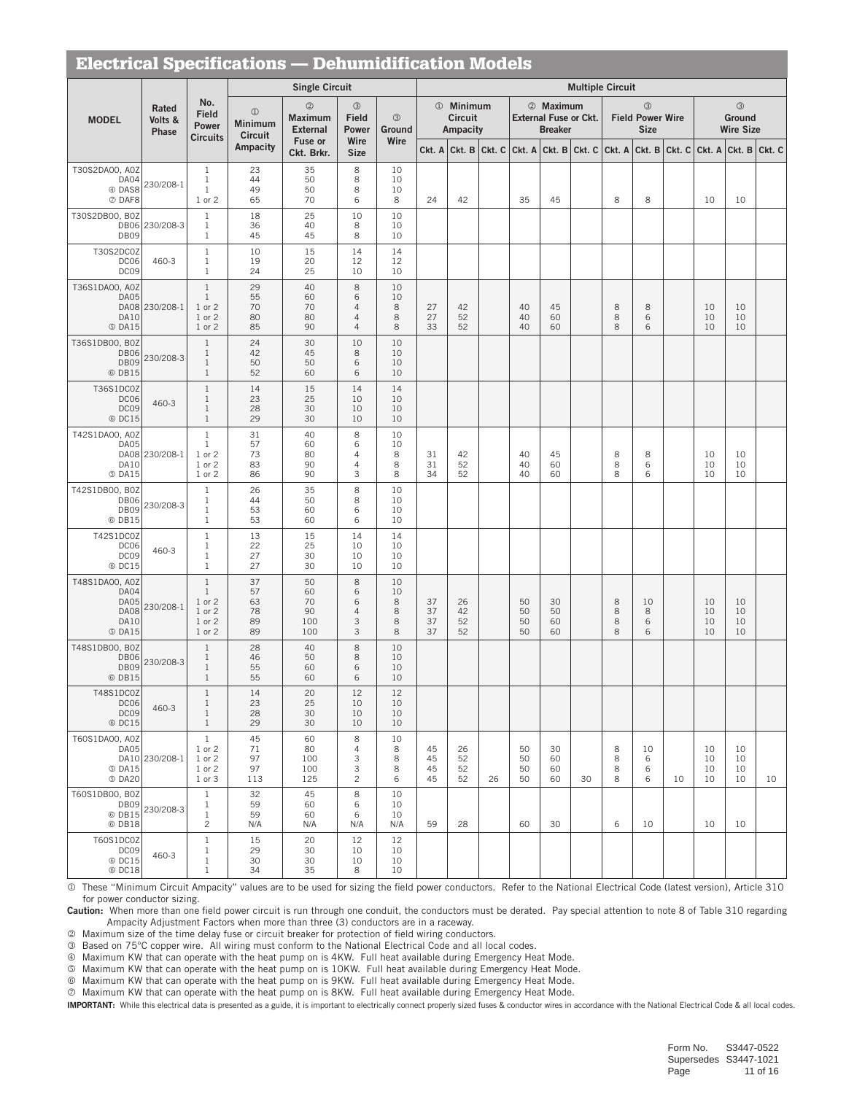| <b>Electrical Specifications - Dehumidification Models</b>         |                           |                                                               |                                              |                                                     |                                                              |                              |                      |                                                       |    |                      |                                                             |                         |                  |                                                         |    |                      |                                             |    |
|--------------------------------------------------------------------|---------------------------|---------------------------------------------------------------|----------------------------------------------|-----------------------------------------------------|--------------------------------------------------------------|------------------------------|----------------------|-------------------------------------------------------|----|----------------------|-------------------------------------------------------------|-------------------------|------------------|---------------------------------------------------------|----|----------------------|---------------------------------------------|----|
|                                                                    |                           |                                                               |                                              | <b>Single Circuit</b>                               |                                                              |                              |                      |                                                       |    |                      |                                                             | <b>Multiple Circuit</b> |                  |                                                         |    |                      |                                             |    |
| <b>MODEL</b>                                                       | Rated<br>Volts &<br>Phase | No.<br><b>Field</b><br>Power<br><b>Circuits</b>               | $^{\copyright}$<br><b>Minimum</b><br>Circuit | $^{\circledR}$<br><b>Maximum</b><br><b>External</b> | $\circledS$<br><b>Field</b><br>Power                         | $\circled{3}$<br>Ground      |                      | <b>1</b> Minimum<br><b>Circuit</b><br><b>Ampacity</b> |    |                      | 2 Maximum<br><b>External Fuse or Ckt.</b><br><b>Breaker</b> |                         |                  | $\circled{3}$<br><b>Field Power Wire</b><br><b>Size</b> |    |                      | $\circled{3}$<br>Ground<br><b>Wire Size</b> |    |
|                                                                    |                           |                                                               | Ampacity                                     | Fuse or<br>Ckt. Brkr.                               | Wire<br><b>Size</b>                                          | Wire                         |                      | Ckt. A Ckt. B Ckt. C                                  |    |                      |                                                             |                         |                  | Ckt. A Ckt. B Ckt. C Ckt. A Ckt. B                      |    |                      | Ckt. $C$ Ckt. A Ckt. B Ckt. C               |    |
| T30S2DA00, A0Z<br>DA04<br>4 DAS8<br>C DAF8                         | 230/208-1                 | $\mathbf{1}$<br>$1\,$<br>$\mathbf{1}$<br>1 or 2               | 23<br>44<br>49<br>65                         | 35<br>50<br>50<br>70                                | 8<br>8<br>8<br>6                                             | 10<br>10<br>10<br>8          | 24                   | 42                                                    |    | 35                   | 45                                                          |                         | 8                | 8                                                       |    | 10                   | 10                                          |    |
| T30S2DB00, B0Z<br><b>DB06</b><br>DB09                              | 230/208-3                 | $\mathbf{1}$<br>$1\,$<br>$\mathbf{1}$                         | 18<br>36<br>45                               | 25<br>40<br>45                                      | 10<br>8<br>8                                                 | 10<br>10<br>10               |                      |                                                       |    |                      |                                                             |                         |                  |                                                         |    |                      |                                             |    |
| T30S2DC0Z<br>DC <sub>06</sub><br>DC09                              | 460-3                     | $\mathbf{1}$<br>$\mathbf{1}$<br>$1\,$                         | 10<br>19<br>24                               | 15<br>20<br>25                                      | 14<br>12<br>10                                               | 14<br>12<br>10               |                      |                                                       |    |                      |                                                             |                         |                  |                                                         |    |                      |                                             |    |
| T36S1DA00, A0Z<br>DA05<br><b>DA10</b><br>© DA15                    | DA08 230/208-1            | $\mathbf{1}$<br>$\,1\,$<br>1 or 2<br>$1$ or $2$<br>1 or 2     | 29<br>55<br>70<br>80<br>85                   | 40<br>60<br>70<br>80<br>90                          | 8<br>6<br>$\overline{4}$<br>$\overline{4}$<br>$\overline{4}$ | 10<br>10<br>8<br>8<br>8      | 27<br>27<br>33       | 42<br>52<br>52                                        |    | 40<br>40<br>40       | 45<br>60<br>60                                              |                         | 8<br>8<br>8      | 8<br>6<br>6                                             |    | 10<br>10<br>10       | 10<br>10<br>10                              |    |
| T36S1DB00, B0Z<br>DB06<br>DB09<br><b>6 DB15</b>                    | 230/208-3                 | $\mathbf{1}$<br>$\,1\,$<br>$1\,$<br>$\mathbf{1}$              | 24<br>42<br>50<br>52                         | 30<br>45<br>50<br>60                                | 10<br>8<br>6<br>6                                            | 10<br>10<br>10<br>10         |                      |                                                       |    |                      |                                                             |                         |                  |                                                         |    |                      |                                             |    |
| T36S1DC0Z<br>DC06<br>DC09<br><b>6 DC15</b>                         | 460-3                     | $\,1\,$<br>$\mathbf{1}$<br>$\mathbf{1}$<br>$\mathbf{1}$       | 14<br>23<br>28<br>29                         | 15<br>25<br>30<br>30                                | 14<br>10<br>10<br>10                                         | 14<br>10<br>10<br>10         |                      |                                                       |    |                      |                                                             |                         |                  |                                                         |    |                      |                                             |    |
| T42S1DA00, A0Z<br>DA05<br><b>DA10</b><br>© DA15                    | DA08 230/208-1            | $\mathbf{1}$<br>$1\,$<br>1 or 2<br>1 or 2<br>$1$ or $2$       | 31<br>57<br>73<br>83<br>86                   | 40<br>60<br>80<br>90<br>90                          | 8<br>6<br>$\overline{4}$<br>$\overline{4}$<br>3              | 10<br>10<br>8<br>8<br>8      | 31<br>31<br>34       | 42<br>52<br>52                                        |    | 40<br>40<br>40       | 45<br>60<br>60                                              |                         | 8<br>8<br>8      | 8<br>6<br>6                                             |    | 10<br>10<br>10       | 10<br>10<br>10                              |    |
| T42S1DB00, B0Z<br>DB06<br>DB09<br><b>© DB15</b>                    | 230/208-3                 | $\mathbf{1}$<br>$\mathbf{1}$<br>$\mathbf{1}$<br>$\mathbf{1}$  | 26<br>44<br>53<br>53                         | 35<br>50<br>60<br>60                                | 8<br>8<br>6<br>6                                             | 10<br>10<br>10<br>10         |                      |                                                       |    |                      |                                                             |                         |                  |                                                         |    |                      |                                             |    |
| T42S1DC0Z<br>DC <sub>06</sub><br>DCO <sub>9</sub><br><b>© DC15</b> | 460-3                     | $\,1\,$<br>$1\,$<br>$\mathbf{1}$<br>$\mathbf{1}$              | 13<br>22<br>27<br>27                         | 15<br>25<br>30<br>30                                | 14<br>10<br>10<br>10                                         | 14<br>10<br>10<br>10         |                      |                                                       |    |                      |                                                             |                         |                  |                                                         |    |                      |                                             |    |
| T48S1DA00, A0Z<br>DA04<br>DA05<br>DA08<br>DA10<br>© DA15           | 230/208-1                 | $1\,$<br>$\mathbf{1}$<br>1 or 2<br>1 or 2<br>1 or 2<br>1 or 2 | 37<br>57<br>63<br>78<br>89<br>89             | 50<br>60<br>70<br>90<br>100<br>100                  | 8<br>6<br>6<br>$\overline{4}$<br>3<br>3                      | 10<br>10<br>8<br>8<br>8<br>8 | 37<br>37<br>37<br>37 | 26<br>42<br>52<br>52                                  |    | 50<br>50<br>50<br>50 | 30<br>50<br>60<br>60                                        |                         | 8<br>8<br>8<br>8 | 10<br>8<br>6<br>6                                       |    | 10<br>10<br>10<br>10 | 10<br>10<br>10<br>10                        |    |
| T48S1DB00, B0Z<br><b>DB06</b><br><b>DB09</b><br><b>6 DB15</b>      | 230/208-3                 | $\mathbf{1}$<br>$\mathbf{1}$<br>$\mathbf{1}$<br>$\mathbf{1}$  | 28<br>46<br>55<br>55                         | 40<br>50<br>60<br>60                                | 8<br>8<br>6<br>6                                             | 10<br>10<br>10<br>10         |                      |                                                       |    |                      |                                                             |                         |                  |                                                         |    |                      |                                             |    |
| T48S1DCOZ<br>DC06<br>DC09<br><b>©DC15</b>                          | 460-3                     | $1\,$<br>$\,1\,$<br>$\mathbf{1}$<br>$\mathbf{1}$              | 14<br>23<br>28<br>29                         | 20<br>25<br>30<br>30                                | 12<br>10<br>10<br>10                                         | 12<br>10<br>10<br>10         |                      |                                                       |    |                      |                                                             |                         |                  |                                                         |    |                      |                                             |    |
| T60S1DA00, A0Z<br>DA05<br>© DA15<br>© DA20                         | DA10 230/208-1            | $\,1\,$<br>1 or 2<br>1 or 2<br>1 or 2<br>$1$ or $3$           | 45<br>71<br>97<br>97<br>113                  | 60<br>80<br>100<br>100<br>125                       | 8<br>4<br>3<br>3<br>$\overline{c}$                           | 10<br>8<br>8<br>8<br>6       | 45<br>45<br>45<br>45 | 26<br>52<br>52<br>52                                  | 26 | 50<br>50<br>50<br>50 | 30<br>60<br>60<br>60                                        | 30                      | 8<br>8<br>8<br>8 | 10<br>6<br>6<br>6                                       | 10 | 10<br>10<br>10<br>10 | 10<br>10<br>10<br>10                        | 10 |
| T60S1DB00, B0Z<br>DB09<br><b>6 DB15</b><br><b>6 DB18</b>           | 230/208-3                 | $1\,$<br>$\mathbf{1}$<br>$1\,$<br>$\overline{c}$              | 32<br>59<br>59<br>N/A                        | 45<br>60<br>60<br>N/A                               | 8<br>6<br>6<br>N/A                                           | 10<br>10<br>10<br>N/A        | 59                   | 28                                                    |    | 60                   | 30                                                          |                         | 6                | 10                                                      |    | 10                   | 10                                          |    |
| T60S1DC0Z<br>DC09<br>© DC15<br><b>6 DC18</b>                       | 460-3                     | $1\,$<br>$\mathbf{1}$<br>$1\,$<br>$\mathbf{1}$                | 15<br>29<br>30<br>34                         | 20<br>30<br>30<br>35                                | 12<br>10<br>10<br>8                                          | 12<br>10<br>10<br>10         |                      |                                                       |    |                      |                                                             |                         |                  |                                                         |    |                      |                                             |    |

 These "Minimum Circuit Ampacity" values are to be used for sizing the field power conductors. Refer to the National Electrical Code (latest version), Article 310 for power conductor sizing.

Caution: When more than one field power circuit is run through one conduit, the conductors must be derated. Pay special attention to note 8 of Table 310 regarding Ampacity Adjustment Factors when more than three (3) conductors are in a raceway.

Maximum size of the time delay fuse or circuit breaker for protection of field wiring conductors.

Based on 75°C copper wire. All wiring must conform to the National Electrical Code and all local codes.

Maximum KW that can operate with the heat pump on is 4KW. Full heat available during Emergency Heat Mode.

Maximum KW that can operate with the heat pump on is 10KW. Full heat available during Emergency Heat Mode.

Maximum KW that can operate with the heat pump on is 9KW. Full heat available during Emergency Heat Mode.

Maximum KW that can operate with the heat pump on is 8KW. Full heat available during Emergency Heat Mode.

IMPORTANT: While this electrical data is presented as a guide, it is important to electrically connect properly sized fuses & conductor wires in accordance with the National Electrical Code & all local codes.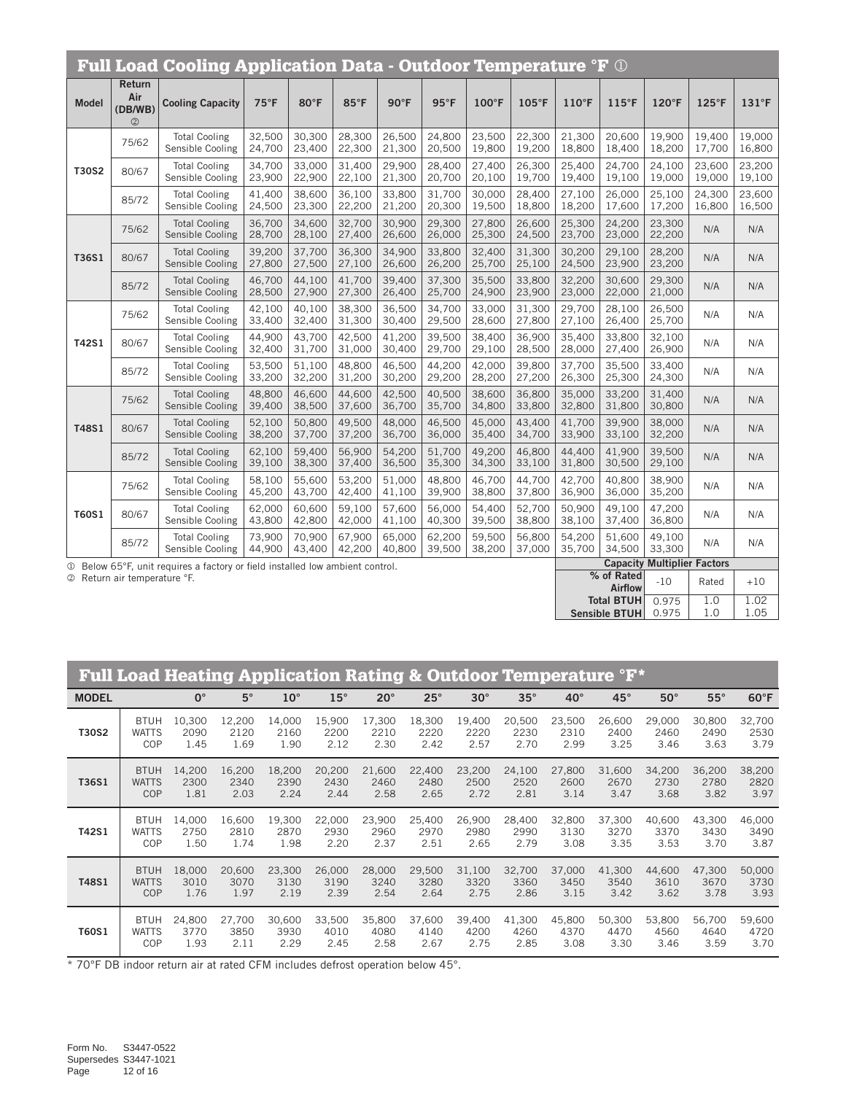|              | <b>Full Load Cooling Application Data - Outdoor Temperature °F O</b><br>Return |                                                                             |                  |                  |                  |                  |                  |                  |                  |                  |                                    |                                    |                  |                  |
|--------------|--------------------------------------------------------------------------------|-----------------------------------------------------------------------------|------------------|------------------|------------------|------------------|------------------|------------------|------------------|------------------|------------------------------------|------------------------------------|------------------|------------------|
| <b>Model</b> | Air<br>(DB/WB)<br>(2)                                                          | <b>Cooling Capacity</b>                                                     | $75^{\circ}$ F   | 80°F             | 85°F             | $90^{\circ}$ F   | 95°F             | 100°F            | 105°F            | $110^{\circ}$ F  | $115^{\circ}$ F                    | 120°F                              | $125^{\circ}F$   | $131^{\circ}F$   |
|              | 75/62                                                                          | <b>Total Cooling</b><br>Sensible Cooling                                    | 32,500<br>24,700 | 30,300<br>23,400 | 28,300<br>22,300 | 26,500<br>21,300 | 24,800<br>20,500 | 23,500<br>19,800 | 22,300<br>19,200 | 21,300<br>18,800 | 20,600<br>18,400                   | 19,900<br>18,200                   | 19,400<br>17,700 | 19,000<br>16,800 |
| <b>T30S2</b> | 80/67                                                                          | <b>Total Cooling</b><br>Sensible Cooling                                    | 34,700<br>23,900 | 33,000<br>22,900 | 31,400<br>22,100 | 29,900<br>21,300 | 28,400<br>20,700 | 27,400<br>20,100 | 26,300<br>19,700 | 25,400<br>19,400 | 24,700<br>19,100                   | 24,100<br>19,000                   | 23,600<br>19,000 | 23,200<br>19,100 |
|              | 85/72                                                                          | <b>Total Cooling</b><br>Sensible Cooling                                    | 41,400<br>24,500 | 38,600<br>23,300 | 36,100<br>22,200 | 33,800<br>21,200 | 31,700<br>20,300 | 30,000<br>19,500 | 28,400<br>18,800 | 27,100<br>18,200 | 26,000<br>17,600                   | 25,100<br>17,200                   | 24,300<br>16,800 | 23,600<br>16,500 |
|              | 75/62                                                                          | <b>Total Cooling</b><br>Sensible Cooling                                    | 36,700<br>28,700 | 34,600<br>28,100 | 32,700<br>27,400 | 30,900<br>26,600 | 29,300<br>26,000 | 27,800<br>25,300 | 26,600<br>24,500 | 25,300<br>23,700 | 24,200<br>23,000                   | 23,300<br>22,200                   | N/A              | N/A              |
| T36S1        | 80/67                                                                          | <b>Total Cooling</b><br>Sensible Cooling                                    | 39,200<br>27,800 | 37,700<br>27,500 | 36,300<br>27,100 | 34,900<br>26,600 | 33,800<br>26,200 | 32,400<br>25,700 | 31,300<br>25,100 | 30,200<br>24,500 | 29,100<br>23,900                   | 28,200<br>23,200                   | N/A              | N/A              |
|              | 85/72                                                                          | <b>Total Cooling</b><br>Sensible Cooling                                    | 46,700<br>28,500 | 44,100<br>27,900 | 41,700<br>27,300 | 39,400<br>26,400 | 37,300<br>25,700 | 35,500<br>24,900 | 33,800<br>23,900 | 32,200<br>23,000 | 30,600<br>22,000                   | 29,300<br>21,000                   | N/A              | N/A              |
|              | 75/62                                                                          | <b>Total Cooling</b><br>Sensible Cooling                                    | 42,100<br>33,400 | 40,100<br>32,400 | 38,300<br>31,300 | 36,500<br>30,400 | 34,700<br>29,500 | 33.000<br>28,600 | 31,300<br>27,800 | 29,700<br>27,100 | 28,100<br>26,400                   | 26,500<br>25,700                   | N/A              | N/A              |
| T42S1        | 80/67                                                                          | <b>Total Cooling</b><br>Sensible Cooling                                    | 44,900<br>32,400 | 43.700<br>31,700 | 42,500<br>31,000 | 41,200<br>30,400 | 39,500<br>29,700 | 38,400<br>29,100 | 36,900<br>28,500 | 35,400<br>28,000 | 33,800<br>27,400                   | 32,100<br>26,900                   | N/A              | N/A              |
|              | 85/72                                                                          | <b>Total Cooling</b><br>Sensible Cooling                                    | 53,500<br>33,200 | 51,100<br>32,200 | 48,800<br>31,200 | 46,500<br>30,200 | 44,200<br>29,200 | 42,000<br>28,200 | 39,800<br>27,200 | 37,700<br>26,300 | 35,500<br>25,300                   | 33,400<br>24,300                   | N/A              | N/A              |
|              | 75/62                                                                          | <b>Total Cooling</b><br>Sensible Cooling                                    | 48,800<br>39,400 | 46,600<br>38,500 | 44,600<br>37,600 | 42,500<br>36,700 | 40,500<br>35,700 | 38,600<br>34,800 | 36,800<br>33,800 | 35,000<br>32,800 | 33,200<br>31,800                   | 31,400<br>30,800                   | N/A              | N/A              |
| T48S1        | 80/67                                                                          | <b>Total Cooling</b><br>Sensible Cooling                                    | 52,100<br>38,200 | 50,800<br>37,700 | 49,500<br>37,200 | 48,000<br>36,700 | 46,500<br>36,000 | 45.000<br>35,400 | 43,400<br>34,700 | 41,700<br>33,900 | 39,900<br>33,100                   | 38,000<br>32,200                   | N/A              | N/A              |
|              | 85/72                                                                          | <b>Total Cooling</b><br>Sensible Cooling                                    | 62,100<br>39,100 | 59,400<br>38,300 | 56,900<br>37,400 | 54,200<br>36,500 | 51,700<br>35,300 | 49,200<br>34,300 | 46,800<br>33,100 | 44,400<br>31,800 | 41,900<br>30,500                   | 39,500<br>29,100                   | N/A              | N/A              |
|              | 75/62                                                                          | <b>Total Cooling</b><br>Sensible Cooling                                    | 58,100<br>45,200 | 55,600<br>43,700 | 53,200<br>42,400 | 51.000<br>41,100 | 48,800<br>39,900 | 46.700<br>38,800 | 44,700<br>37,800 | 42,700<br>36,900 | 40.800<br>36,000                   | 38,900<br>35,200                   | N/A              | N/A              |
| <b>T60S1</b> | 80/67                                                                          | <b>Total Cooling</b><br>Sensible Cooling                                    | 62,000<br>43,800 | 60,600<br>42,800 | 59,100<br>42,000 | 57,600<br>41,100 | 56,000<br>40,300 | 54,400<br>39,500 | 52,700<br>38,800 | 50,900<br>38,100 | 49,100<br>37,400                   | 47,200<br>36,800                   | N/A              | N/A              |
|              | 85/72                                                                          | <b>Total Cooling</b><br>Sensible Cooling                                    | 73,900<br>44,900 | 70,900<br>43,400 | 67,900<br>42,200 | 65.000<br>40,800 | 62,200<br>39,500 | 59,500<br>38,200 | 56,800<br>37,000 | 54,200<br>35,700 | 51.600<br>34,500                   | 49.100<br>33,300                   | N/A              | N/A              |
| $^\circledR$ |                                                                                | Below 65°F, unit requires a factory or field installed low ambient control. |                  |                  |                  |                  |                  |                  |                  |                  |                                    | <b>Capacity Multiplier Factors</b> |                  |                  |
|              | 2 Return air temperature °F.                                                   |                                                                             |                  |                  |                  |                  |                  |                  |                  |                  | % of Rated<br>Airflow              | $-10$                              | Rated            | $+10$            |
|              |                                                                                |                                                                             |                  |                  |                  |                  |                  |                  |                  |                  | <b>Total BTUH</b><br>Sensible BTUH | 0.975<br>0.975                     | 1.0<br>1.0       | 1.02<br>1.05     |

|              | <b>Full Load Heating Application Rating &amp; Outdoor Temperature °F*</b> |             |           |              |              |              |            |            |            |              |            |            |              |                |
|--------------|---------------------------------------------------------------------------|-------------|-----------|--------------|--------------|--------------|------------|------------|------------|--------------|------------|------------|--------------|----------------|
| <b>MODEL</b> |                                                                           | $0^{\circ}$ | $5^\circ$ | $10^{\circ}$ | $15^{\circ}$ | $20^{\circ}$ | $25^\circ$ | $30^\circ$ | $35^\circ$ | $40^{\circ}$ | $45^\circ$ | $50^\circ$ | $55^{\circ}$ | $60^{\circ}$ F |
| <b>T30S2</b> | <b>BTUH</b>                                                               | 10,300      | 12,200    | 14,000       | 15,900       | 17,300       | 18.300     | 19,400     | 20,500     | 23,500       | 26,600     | 29,000     | 30.800       | 32.700         |
|              | <b>WATTS</b>                                                              | 2090        | 2120      | 2160         | 2200         | 2210         | 2220       | 2220       | 2230       | 2310         | 2400       | 2460       | 2490         | 2530           |
|              | COP                                                                       | 1.45        | 1.69      | 1.90         | 2.12         | 2.30         | 2.42       | 2.57       | 2.70       | 2.99         | 3.25       | 3.46       | 3.63         | 3.79           |
| T36S1        | <b>BTUH</b>                                                               | 14,200      | 16,200    | 18,200       | 20,200       | 21,600       | 22,400     | 23,200     | 24,100     | 27,800       | 31,600     | 34,200     | 36,200       | 38,200         |
|              | <b>WATTS</b>                                                              | 2300        | 2340      | 2390         | 2430         | 2460         | 2480       | 2500       | 2520       | 2600         | 2670       | 2730       | 2780         | 2820           |
|              | COP                                                                       | 1.81        | 2.03      | 2.24         | 2.44         | 2.58         | 2.65       | 2.72       | 2.81       | 3.14         | 3.47       | 3.68       | 3.82         | 3.97           |
| T42S1        | <b>BTUH</b>                                                               | 14,000      | 16,600    | 19,300       | 22,000       | 23,900       | 25,400     | 26,900     | 28,400     | 32,800       | 37,300     | 40,600     | 43,300       | 46,000         |
|              | <b>WATTS</b>                                                              | 2750        | 2810      | 2870         | 2930         | 2960         | 2970       | 2980       | 2990       | 3130         | 3270       | 3370       | 3430         | 3490           |
|              | COP                                                                       | 1.50        | 1.74      | 1.98         | 2.20         | 2.37         | 2.51       | 2.65       | 2.79       | 3.08         | 3.35       | 3.53       | 3.70         | 3.87           |
| T48S1        | <b>BTUH</b>                                                               | 18,000      | 20,600    | 23,300       | 26,000       | 28,000       | 29,500     | 31,100     | 32,700     | 37,000       | 41,300     | 44,600     | 47,300       | 50,000         |
|              | <b>WATTS</b>                                                              | 3010        | 3070      | 3130         | 3190         | 3240         | 3280       | 3320       | 3360       | 3450         | 3540       | 3610       | 3670         | 3730           |
|              | COP                                                                       | 1.76        | 1.97      | 2.19         | 2.39         | 2.54         | 2.64       | 2.75       | 2.86       | 3.15         | 3.42       | 3.62       | 3.78         | 3.93           |
| <b>T60S1</b> | <b>BTUH</b>                                                               | 24,800      | 27,700    | 30,600       | 33,500       | 35,800       | 37,600     | 39,400     | 41,300     | 45,800       | 50,300     | 53,800     | 56,700       | 59,600         |
|              | <b>WATTS</b>                                                              | 3770        | 3850      | 3930         | 4010         | 4080         | 4140       | 4200       | 4260       | 4370         | 4470       | 4560       | 4640         | 4720           |
|              | COP                                                                       | 1.93        | 2.11      | 2.29         | 2.45         | 2.58         | 2.67       | 2.75       | 2.85       | 3.08         | 3.30       | 3.46       | 3.59         | 3.70           |

\* 70°F DB indoor return air at rated CFM includes defrost operation below 45°.

í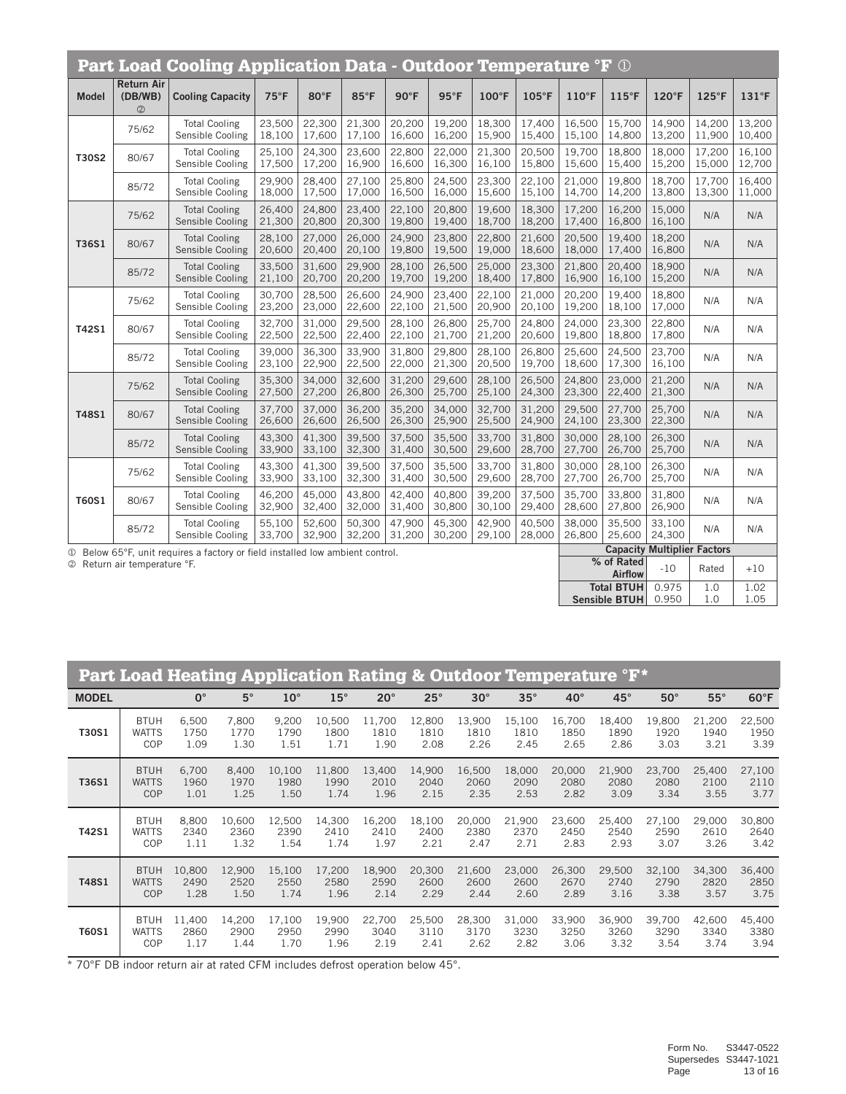|              | Part Load Cooling Application Data - Outdoor Temperature $^{\circ}\text{F}$ $\mathbb \mathbb{O}$ |                                                                             |                  |                  |                  |                  |                  |                  |                  |                  |                              |                                    |                  |                  |
|--------------|--------------------------------------------------------------------------------------------------|-----------------------------------------------------------------------------|------------------|------------------|------------------|------------------|------------------|------------------|------------------|------------------|------------------------------|------------------------------------|------------------|------------------|
| <b>Model</b> | <b>Return Air</b><br>(DB/WB)<br>(2)                                                              | <b>Cooling Capacity</b>                                                     | $75^{\circ}$ F   | 80°F             | 85°F             | $90^{\circ}$ F   | $95^{\circ}F$    | $100^{\circ}$ F  | 105°F            | $110^{\circ}$ F  | $115^{\circ}$ F              | $120^{\circ}F$                     | $125^{\circ}F$   | $131^\circ F$    |
|              | 75/62                                                                                            | <b>Total Cooling</b><br>Sensible Cooling                                    | 23,500<br>18,100 | 22,300<br>17,600 | 21,300<br>17,100 | 20,200<br>16,600 | 19,200<br>16,200 | 18,300<br>15,900 | 17,400<br>15,400 | 16,500<br>15,100 | 15,700<br>14,800             | 14,900<br>13,200                   | 14,200<br>11,900 | 13,200<br>10,400 |
| <b>T30S2</b> | 80/67                                                                                            | <b>Total Cooling</b><br>Sensible Cooling                                    | 25,100<br>17,500 | 24,300<br>17,200 | 23,600<br>16,900 | 22,800<br>16,600 | 22,000<br>16,300 | 21,300<br>16,100 | 20,500<br>15,800 | 19,700<br>15,600 | 18,800<br>15,400             | 18,000<br>15,200                   | 17,200<br>15,000 | 16,100<br>12,700 |
|              | 85/72                                                                                            | <b>Total Cooling</b><br>Sensible Cooling                                    | 29,900<br>18,000 | 28,400<br>17,500 | 27,100<br>17,000 | 25,800<br>16,500 | 24,500<br>16,000 | 23,300<br>15,600 | 22,100<br>15,100 | 21,000<br>14,700 | 19,800<br>14,200             | 18,700<br>13,800                   | 17,700<br>13.300 | 16,400<br>11,000 |
|              | 75/62                                                                                            | <b>Total Cooling</b><br>Sensible Cooling                                    | 26,400<br>21,300 | 24,800<br>20,800 | 23,400<br>20,300 | 22,100<br>19,800 | 20,800<br>19,400 | 19,600<br>18,700 | 18,300<br>18,200 | 17,200<br>17,400 | 16,200<br>16,800             | 15,000<br>16,100                   | N/A              | N/A              |
| T36S1        | 80/67                                                                                            | <b>Total Cooling</b><br>Sensible Cooling                                    | 28,100<br>20,600 | 27,000<br>20,400 | 26,000<br>20,100 | 24,900<br>19,800 | 23,800<br>19,500 | 22,800<br>19,000 | 21,600<br>18,600 | 20,500<br>18,000 | 19,400<br>17,400             | 18,200<br>16,800                   | N/A              | N/A              |
|              | 85/72                                                                                            | <b>Total Cooling</b><br>Sensible Cooling                                    | 33.500<br>21,100 | 31.600<br>20,700 | 29,900<br>20,200 | 28.100<br>19,700 | 26,500<br>19,200 | 25.000<br>18,400 | 23.300<br>17,800 | 21.800<br>16,900 | 20,400<br>16,100             | 18.900<br>15,200                   | N/A              | N/A              |
|              | 75/62                                                                                            | <b>Total Cooling</b><br>Sensible Cooling                                    | 30.700<br>23,200 | 28.500<br>23,000 | 26.600<br>22,600 | 24.900<br>22,100 | 23.400<br>21,500 | 22.100<br>20,900 | 21.000<br>20,100 | 20.200<br>19,200 | 19.400<br>18,100             | 18,800<br>17,000                   | N/A              | N/A              |
| T42S1        | 80/67                                                                                            | <b>Total Cooling</b><br>Sensible Cooling                                    | 32.700<br>22,500 | 31.000<br>22,500 | 29,500<br>22,400 | 28,100<br>22,100 | 26,800<br>21,700 | 25.700<br>21,200 | 24.800<br>20,600 | 24.000<br>19,800 | 23,300<br>18,800             | 22,800<br>17,800                   | N/A              | N/A              |
|              | 85/72                                                                                            | <b>Total Cooling</b><br>Sensible Cooling                                    | 39,000<br>23,100 | 36.300<br>22,900 | 33.900<br>22,500 | 31.800<br>22,000 | 29.800<br>21,300 | 28.100<br>20,500 | 26.800<br>19,700 | 25.600<br>18,600 | 24,500<br>17,300             | 23.700<br>16,100                   | N/A              | N/A              |
|              | 75/62                                                                                            | <b>Total Cooling</b><br>Sensible Cooling                                    | 35.300<br>27,500 | 34,000<br>27,200 | 32.600<br>26,800 | 31,200<br>26,300 | 29,600<br>25,700 | 28,100<br>25,100 | 26,500<br>24,300 | 24.800<br>23,300 | 23.000<br>22,400             | 21.200<br>21,300                   | N/A              | N/A              |
| T48S1        | 80/67                                                                                            | <b>Total Cooling</b><br>Sensible Cooling                                    | 37.700<br>26,600 | 37,000<br>26,600 | 36,200<br>26,500 | 35,200<br>26,300 | 34.000<br>25,900 | 32,700<br>25,500 | 31,200<br>24,900 | 29,500<br>24,100 | 27,700<br>23,300             | 25,700<br>22,300                   | N/A              | N/A              |
|              | 85/72                                                                                            | <b>Total Cooling</b><br>Sensible Cooling                                    | 43,300<br>33,900 | 41,300<br>33,100 | 39,500<br>32,300 | 37,500<br>31,400 | 35,500<br>30,500 | 33,700<br>29,600 | 31,800<br>28,700 | 30.000<br>27,700 | 28,100<br>26,700             | 26,300<br>25,700                   | N/A              | N/A              |
|              | 75/62                                                                                            | <b>Total Cooling</b><br>Sensible Cooling                                    | 43,300<br>33,900 | 41,300<br>33,100 | 39,500<br>32,300 | 37,500<br>31,400 | 35,500<br>30,500 | 33,700<br>29,600 | 31,800<br>28,700 | 30,000<br>27,700 | 28,100<br>26,700             | 26,300<br>25,700                   | N/A              | N/A              |
| <b>T60S1</b> | 80/67                                                                                            | <b>Total Cooling</b><br>Sensible Cooling                                    | 46,200<br>32,900 | 45,000<br>32,400 | 43,800<br>32,000 | 42,400<br>31,400 | 40.800<br>30,800 | 39,200<br>30,100 | 37,500<br>29,400 | 35.700<br>28,600 | 33,800<br>27,800             | 31,800<br>26,900                   | N/A              | N/A              |
|              | 85/72                                                                                            | <b>Total Cooling</b><br>Sensible Cooling                                    | 55,100<br>33,700 | 52,600<br>32,900 | 50,300<br>32,200 | 47,900<br>31,200 | 45,300<br>30,200 | 42,900<br>29,100 | 40,500<br>28,000 | 38,000<br>26,800 | 35,500<br>25,600             | 33,100<br>24,300                   | N/A              | N/A              |
| $^{\circ}$   |                                                                                                  | Below 65°F, unit requires a factory or field installed low ambient control. |                  |                  |                  |                  |                  |                  |                  |                  |                              | <b>Capacity Multiplier Factors</b> |                  |                  |
|              | 2 Return air temperature °F.                                                                     |                                                                             |                  |                  |                  |                  |                  |                  |                  |                  | % of Rated<br><b>Airflow</b> | $-10$                              | Rated            | $+10$            |
|              |                                                                                                  |                                                                             |                  |                  |                  |                  |                  |                  |                  |                  | <b>Total BTUH</b>            | 0.975                              | 1.0              | 1.02             |

| Part Load Heating Application Rating & Outdoor Temperature °F*                 |              |             |           |              |              |              |            |            |            |            |              |            |              |                |
|--------------------------------------------------------------------------------|--------------|-------------|-----------|--------------|--------------|--------------|------------|------------|------------|------------|--------------|------------|--------------|----------------|
| <b>MODEL</b>                                                                   |              | $0^{\circ}$ | $5^\circ$ | $10^{\circ}$ | $15^{\circ}$ | $20^{\circ}$ | $25^\circ$ | $30^\circ$ | $35^\circ$ | $40^\circ$ | $45^{\circ}$ | $50^\circ$ | $55^{\circ}$ | $60^{\circ}$ F |
| T30S1                                                                          | <b>BTUH</b>  | 6,500       | 7,800     | 9,200        | 10,500       | 11,700       | 12,800     | 13,900     | 15,100     | 16,700     | 18,400       | 19,800     | 21,200       | 22,500         |
|                                                                                | <b>WATTS</b> | 1750        | 1770      | 1790         | 1800         | 1810         | 1810       | 1810       | 1810       | 1850       | 1890         | 1920       | 1940         | 1950           |
|                                                                                | COP          | 1.09        | 1.30      | 1.51         | 1.71         | 1.90         | 2.08       | 2.26       | 2.45       | 2.65       | 2.86         | 3.03       | 3.21         | 3.39           |
| T36S1                                                                          | <b>BTUH</b>  | 6,700       | 8,400     | 10,100       | 11,800       | 13,400       | 14,900     | 16,500     | 18,000     | 20,000     | 21,900       | 23,700     | 25,400       | 27,100         |
|                                                                                | <b>WATTS</b> | 1960        | 1970      | 1980         | 1990         | 2010         | 2040       | 2060       | 2090       | 2080       | 2080         | 2080       | 2100         | 2110           |
|                                                                                | <b>COP</b>   | 1.01        | 1.25      | 1.50         | 1.74         | 1.96         | 2.15       | 2.35       | 2.53       | 2.82       | 3.09         | 3.34       | 3.55         | 3.77           |
| T42S1                                                                          | <b>BTUH</b>  | 8,800       | 10,600    | 12,500       | 14,300       | 16,200       | 18,100     | 20,000     | 21,900     | 23,600     | 25,400       | 27,100     | 29,000       | 30,800         |
|                                                                                | <b>WATTS</b> | 2340        | 2360      | 2390         | 2410         | 2410         | 2400       | 2380       | 2370       | 2450       | 2540         | 2590       | 2610         | 2640           |
|                                                                                | COP          | 1.11        | 1.32      | 1.54         | 1.74         | 1.97         | 2.21       | 2.47       | 2.71       | 2.83       | 2.93         | 3.07       | 3.26         | 3.42           |
| T48S1                                                                          | <b>BTUH</b>  | 10,800      | 12,900    | 15,100       | 17,200       | 18,900       | 20,300     | 21,600     | 23,000     | 26,300     | 29,500       | 32,100     | 34,300       | 36,400         |
|                                                                                | <b>WATTS</b> | 2490        | 2520      | 2550         | 2580         | 2590         | 2600       | 2600       | 2600       | 2670       | 2740         | 2790       | 2820         | 2850           |
|                                                                                | COP          | 1.28        | 1.50      | 1.74         | 1.96         | 2.14         | 2.29       | 2.44       | 2.60       | 2.89       | 3.16         | 3.38       | 3.57         | 3.75           |
| <b>T60S1</b>                                                                   | <b>BTUH</b>  | 11,400      | 14,200    | 17,100       | 19,900       | 22,700       | 25,500     | 28,300     | 31,000     | 33,900     | 36,900       | 39,700     | 42,600       | 45,400         |
|                                                                                | <b>WATTS</b> | 2860        | 2900      | 2950         | 2990         | 3040         | 3110       | 3170       | 3230       | 3250       | 3260         | 3290       | 3340         | 3380           |
|                                                                                | COP          | 1.17        | 1.44      | 1.70         | 1.96         | 2.19         | 2.41       | 2.62       | 2.82       | 3.06       | 3.32         | 3.54       | 3.74         | 3.94           |
| * 70°F DB indoor return air at rated CFM includes defrost operation below 45°. |              |             |           |              |              |              |            |            |            |            |              |            |              |                |

 $\overline{\phantom{a}}$ 

Sensible BTUH

0.950

1.0

1.05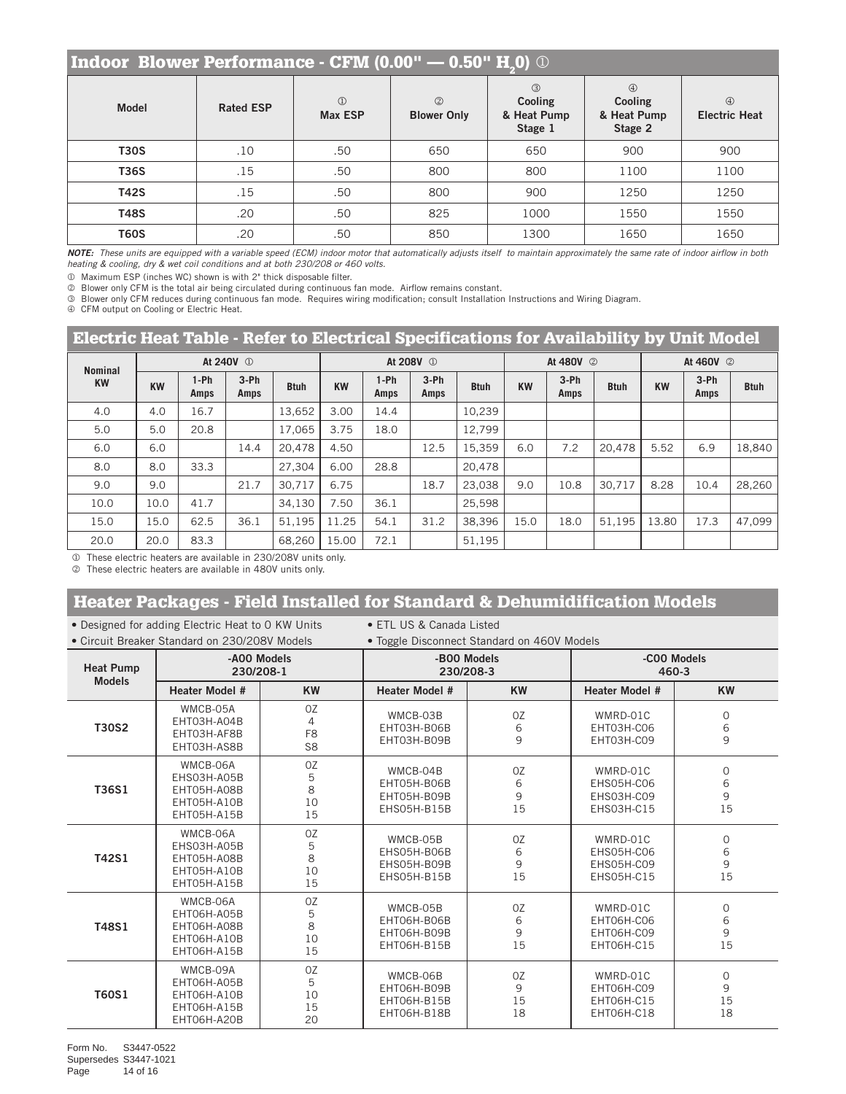| <b>Indoor Blower Performance - CFM <math>(0.00^{\circ} - 0.50^{\circ} H, 0)</math> O</b> |                  |                          |                           |                                          |                                                    |                                       |  |  |  |  |  |
|------------------------------------------------------------------------------------------|------------------|--------------------------|---------------------------|------------------------------------------|----------------------------------------------------|---------------------------------------|--|--|--|--|--|
| <b>Model</b>                                                                             | <b>Rated ESP</b> | $\circled{1}$<br>Max ESP | (2)<br><b>Blower Only</b> | (3)<br>Cooling<br>& Heat Pump<br>Stage 1 | $\circled{4}$<br>Cooling<br>& Heat Pump<br>Stage 2 | $\circled{4}$<br><b>Electric Heat</b> |  |  |  |  |  |
| <b>T30S</b>                                                                              | .10              | .50                      | 650                       | 650                                      | 900                                                | 900                                   |  |  |  |  |  |
| <b>T36S</b>                                                                              | .15              | .50                      | 800                       | 800                                      | 1100                                               | 1100                                  |  |  |  |  |  |
| <b>T42S</b>                                                                              | .15              | .50                      | 800                       | 900                                      | 1250                                               | 1250                                  |  |  |  |  |  |
| <b>T48S</b>                                                                              | .20              | .50                      | 825                       | 1000                                     | 1550                                               | 1550                                  |  |  |  |  |  |
| <b>T60S</b>                                                                              | .20              | .50                      | 850                       | 1300                                     | 1650                                               | 1650                                  |  |  |  |  |  |

*NOTE: These units are equipped with a variable speed (ECM) indoor motor that automatically adjusts itself to maintain approximately the same rate of indoor airflow in both heating & cooling, dry & wet coil conditions and at both 230/208 or 460 volts.*

Maximum ESP (inches WC) shown is with 2" thick disposable filter.

◎ Blower only CFM is the total air being circulated during continuous fan mode. Airflow remains constant.<br>◎ Blower only CFM reduces during continuous fan mode. Requires wiring modification; consult Installation Instructio

 $\circledast$  CFM output on Cooling or Electric Heat.

|                | Electric Heat Table - Refer to Electrical Specifications for Availability by Unit Model |              |                |             |           |                |                |             |           |                |             |           |                |             |  |
|----------------|-----------------------------------------------------------------------------------------|--------------|----------------|-------------|-----------|----------------|----------------|-------------|-----------|----------------|-------------|-----------|----------------|-------------|--|
| <b>Nominal</b> |                                                                                         |              | At 240V ①      |             |           |                | At 208V ①      |             |           | At 480V 2      |             | At 460V 2 |                |             |  |
| <b>KW</b>      | <b>KW</b>                                                                               | 1-Ph<br>Amps | $3-Ph$<br>Amps | <b>Btuh</b> | <b>KW</b> | $1-Ph$<br>Amps | $3-Ph$<br>Amps | <b>Btuh</b> | <b>KW</b> | $3-Ph$<br>Amps | <b>Btuh</b> | <b>KW</b> | $3-Ph$<br>Amps | <b>Btuh</b> |  |
| 4.0            | 4.0                                                                                     | 16.7         |                | 13,652      | 3.00      | 14.4           |                | 10,239      |           |                |             |           |                |             |  |
| 5.0            | 5.0                                                                                     | 20.8         |                | 17,065      | 3.75      | 18.0           |                | 12,799      |           |                |             |           |                |             |  |
| 6.0            | 6.0                                                                                     |              | 14.4           | 20.478      | 4.50      |                | 12.5           | 15,359      | 6.0       | 7.2            | 20,478      | 5.52      | 6.9            | 18,840      |  |
| 8.0            | 8.0                                                                                     | 33.3         |                | 27.304      | 6.00      | 28.8           |                | 20,478      |           |                |             |           |                |             |  |
| 9.0            | 9.0                                                                                     |              | 21.7           | 30.717      | 6.75      |                | 18.7           | 23.038      | 9.0       | 10.8           | 30.717      | 8.28      | 10.4           | 28.260      |  |
| 10.0           | 10.0                                                                                    | 41.7         |                | 34.130      | 7.50      | 36.1           |                | 25,598      |           |                |             |           |                |             |  |
| 15.0           | 15.0                                                                                    | 62.5         | 36.1           | 51.195      | 11.25     | 54.1           | 31.2           | 38.396      | 15.0      | 18.0           | 51.195      | 13.80     | 17.3           | 47.099      |  |
| 20.0           | 20.0                                                                                    | 83.3         |                | 68,260      | 15.00     | 72.1           |                | 51,195      |           |                |             |           |                |             |  |

 $D$  These electric heaters are available in 230/208V units only.

k These electric heaters are available in 480V units only.

## Heater Packages - Field Installed for Standard & Dehumidification Models

• Designed for adding Electric Heat to 0 KW Units • ETL US & Canada Listed

|                                   | • Circuit Breaker Standard on 230/208V Models<br>• Toggle Disconnect Standard on 460V Models |                                             |                                                       |                          |                                                           |                               |  |  |  |  |  |
|-----------------------------------|----------------------------------------------------------------------------------------------|---------------------------------------------|-------------------------------------------------------|--------------------------|-----------------------------------------------------------|-------------------------------|--|--|--|--|--|
| <b>Heat Pump</b><br><b>Models</b> |                                                                                              | -A00 Models<br>230/208-1                    |                                                       | -B00 Models<br>230/208-3 | -COO Models<br>460-3                                      |                               |  |  |  |  |  |
|                                   | <b>Heater Model #</b>                                                                        | <b>KW</b>                                   | <b>Heater Model #</b>                                 | <b>KW</b>                | <b>Heater Model #</b>                                     | <b>KW</b>                     |  |  |  |  |  |
| <b>T30S2</b>                      | WMCB-05A<br>EHT03H-A04B<br>EHT03H-AF8B<br>EHT03H-AS8B                                        | 0Z<br>4<br>F <sub>8</sub><br>S <sub>8</sub> | WMCB-03B<br>EHT03H-B06B<br>EHT03H-B09B                | 0Z<br>6<br>9             | WMRD-01C<br>EHT03H-C06<br>EHT03H-C09                      | $\Omega$<br>6<br>9            |  |  |  |  |  |
| T36S1                             | WMCB-06A<br>EHS03H-A05B<br>EHT05H-A08B<br>EHT05H-A10B<br>EHT05H-A15B                         | 0Z<br>5<br>8<br>10<br>15                    | WMCB-04B<br>EHT05H-B06B<br>EHT05H-B09B<br>EHS05H-B15B | 0Z<br>6<br>9<br>15       | WMRD-01C<br>EHS05H-C06<br>EHS03H-C09<br><b>EHSO3H-C15</b> | $\circ$<br>6<br>9<br>15       |  |  |  |  |  |
| T42S1                             | WMCB-06A<br>EHS03H-A05B<br>EHT05H-A08B<br>EHT05H-A10B<br>EHT05H-A15B                         | 0Z<br>5<br>8<br>10<br>15                    | WMCB-05B<br>EHS05H-B06B<br>EHS05H-B09B<br>EHS05H-B15B | 0Z<br>6<br>9<br>15       | WMRD-01C<br>EHSO5H-CO6<br>EHS05H-C09<br><b>EHSO5H-C15</b> | $\mathsf{O}$<br>6<br>9<br>15  |  |  |  |  |  |
| T48S1                             | WMCB-06A<br>EHT06H-A05B<br>EHT06H-A08B<br>EHT06H-A10B<br>EHT06H-A15B                         | 0Z<br>5<br>8<br>10<br>15                    | WMCB-05B<br>EHT06H-B06B<br>EHT06H-B09B<br>EHT06H-B15B | 0Z<br>6<br>9<br>15       | WMRD-01C<br>EHT06H-C06<br>EHT06H-C09<br>EHT06H-C15        | $\circ$<br>6<br>9<br>15       |  |  |  |  |  |
| <b>T60S1</b>                      | WMCB-09A<br>EHT06H-A05B<br>EHT06H-A10B<br>EHT06H-A15B<br>EHT06H-A20B                         | 0Z<br>5<br>10<br>15<br>20                   | WMCB-06B<br>EHT06H-B09B<br>EHT06H-B15B<br>EHT06H-B18B | 0Z<br>9<br>15<br>18      | WMRD-01C<br>EHT06H-C09<br>EHT06H-C15<br>EHT06H-C18        | $\mathsf{O}$<br>9<br>15<br>18 |  |  |  |  |  |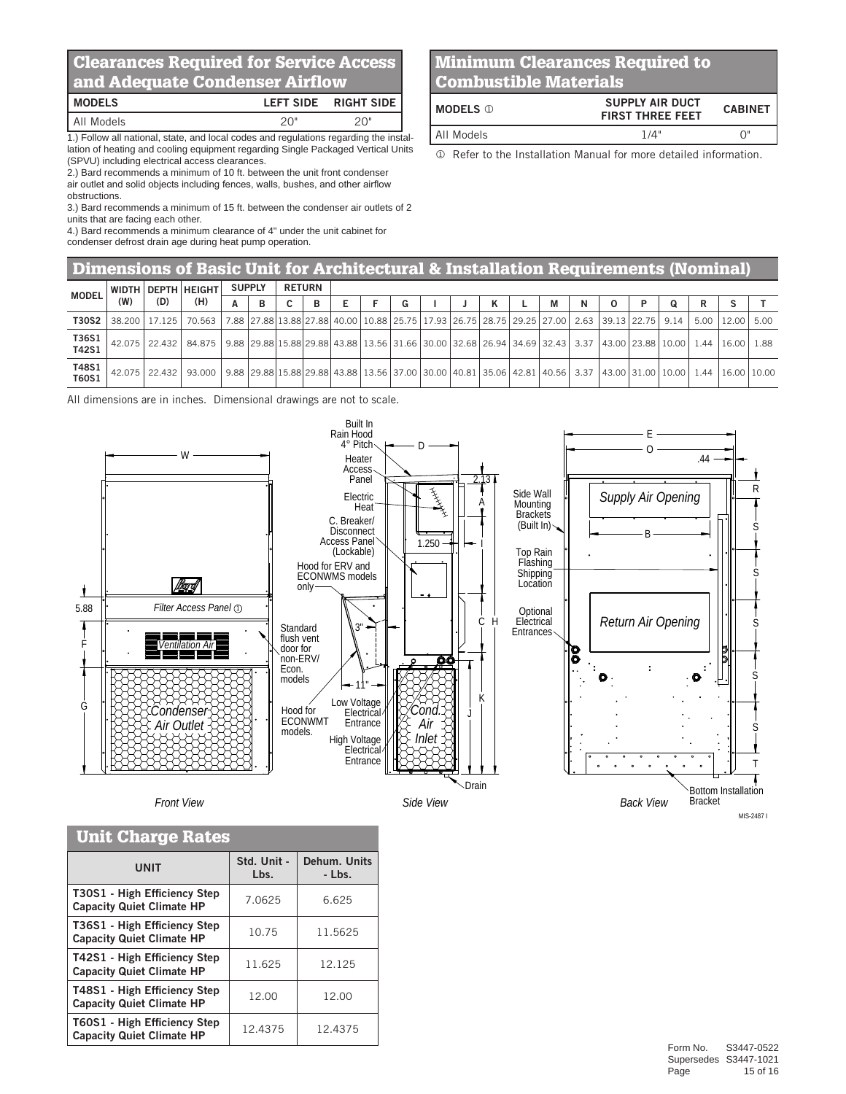## Clearances Required for Service Access and Adequate Condenser Airflow

| <b>MODELS</b> | <b>LEFT SIDE</b> | <b>RIGHT SIDE</b> |
|---------------|------------------|-------------------|
| I All Models  |                  |                   |

1.) Follow all national, state, and local codes and regulations regarding the installation of heating and cooling equipment regarding Single Packaged Vertical Units (SPVU) including electrical access clearances.

2.) Bard recommends a minimum of 10 ft. between the unit front condenser air outlet and solid objects including fences, walls, bushes, and other airflow obstructions.

3.) Bard recommends a minimum of 15 ft. between the condenser air outlets of 2 units that are facing each other.

4.) Bard recommends a minimum clearance of 4" under the unit cabinet for condenser defrost drain age during heat pump operation.

## Minimum Clearances Required to Combustible Materials

| I MODELS ① | <b>SUPPLY AIR DUCT</b><br><b>FIRST THREE FEET</b> | <b>CABINET</b> |
|------------|---------------------------------------------------|----------------|
| All Models | 1/4"                                              |                |

Refer to the Installation Manual for more detailed information.

|                | Dimensions of Basic Unit for Architectural & Installation Requirements (Nominal) |        |                                                                                                                         |               |   |   |               |  |  |   |  |   |   |   |   |                                                                                                                      |      |               |      |
|----------------|----------------------------------------------------------------------------------|--------|-------------------------------------------------------------------------------------------------------------------------|---------------|---|---|---------------|--|--|---|--|---|---|---|---|----------------------------------------------------------------------------------------------------------------------|------|---------------|------|
| <b>MODEL</b>   |                                                                                  |        | <b>WIDTH DEPTH HEIGHT</b>                                                                                               | <b>SUPPLY</b> |   |   | <b>RETURN</b> |  |  |   |  |   |   |   |   |                                                                                                                      |      |               |      |
|                | (W)                                                                              | (D)    | (H)                                                                                                                     |               | в | c | B             |  |  | G |  | Κ | М | N | O | Q                                                                                                                    | R    | s             |      |
| <b>T30S2</b>   | 38.200                                                                           | 17.125 | 70.563                                                                                                                  |               |   |   |               |  |  |   |  |   |   |   |   | 7.88  27.88 13.88 27.88  40.00   10.88   25.75   17.93   26.75   28.75   29.25   27.00   2.63   39.13   22.75   9.14 | 5.00 | 12.00         | 5.00 |
| T36S1<br>T42S1 |                                                                                  |        | 42.075 22.432 84.875 9.88 29.88 15.88 29.88 43.88 15.56 31.66 30.00 32.68 26.94 34.69 32.43 3.37 43.00 23.88 10.00 1.44 |               |   |   |               |  |  |   |  |   |   |   |   |                                                                                                                      |      | 16.00         | 1.88 |
| T48S1<br>T60S1 |                                                                                  |        | 42.075 22.432 93.000 9.88 29.88 15.88 29.88 43.88 15.56 37.00 30.00 40.81 35.06 42.81 40.56 3.37 43.00 31.00 10.00 1.44 |               |   |   |               |  |  |   |  |   |   |   |   |                                                                                                                      |      | 16.00   10.00 |      |

All dimensions are in inches. Dimensional drawings are not to scale.



| <b>Unit Charge Rates</b>                                         |                     |                         |
|------------------------------------------------------------------|---------------------|-------------------------|
| <b>UNIT</b>                                                      | Std. Unit -<br>Lbs. | Dehum. Units<br>$-Lbs.$ |
| T30S1 - High Efficiency Step<br><b>Capacity Quiet Climate HP</b> | 7.0625              | 6.625                   |
| T36S1 - High Efficiency Step<br><b>Capacity Quiet Climate HP</b> | 10.75               | 11.5625                 |
| T42S1 - High Efficiency Step<br><b>Capacity Quiet Climate HP</b> | 11.625              | 12.125                  |
| T48S1 - High Efficiency Step<br><b>Capacity Quiet Climate HP</b> | 12.00               | 12.00                   |
| T60S1 - High Efficiency Step<br><b>Capacity Quiet Climate HP</b> | 12.4375             | 12.4375                 |